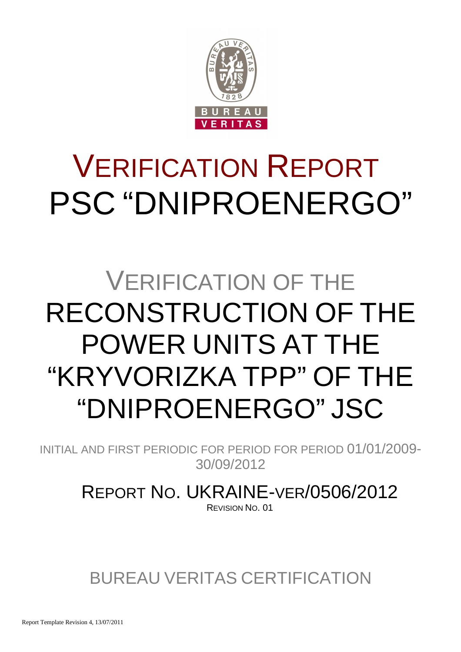

# VERIFICATION REPORT PSC "DNIPROENERGO"

# VERIFICATION OF THE RECONSTRUCTION OF THE POWER UNITS AT THE "KRYVORIZKA TPP" OF THE "DNIPROENERGO" JSC

INITIAL AND FIRST PERIODIC FOR PERIOD FOR PERIOD 01/01/2009- 30/09/2012

> REPORT NO. UKRAINE-VER/0506/2012 REVISION NO. 01

BUREAU VERITAS CERTIFICATION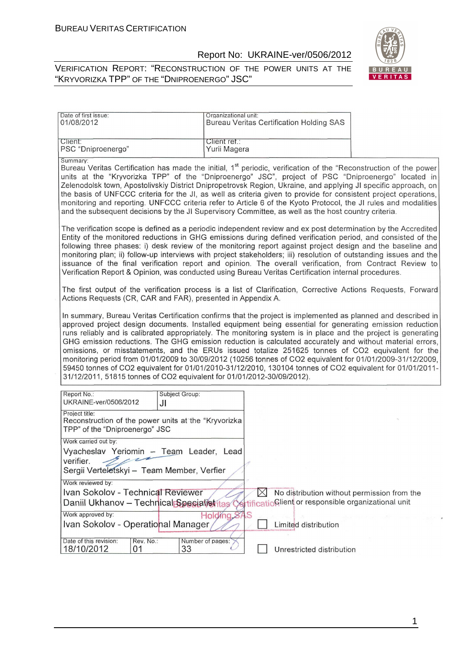01

18/10/2012

33

#### Report No: UKRAINE-ver/0506/2012

#### VERIFICATION REPORT: "RECONSTRUCTION OF THE POWER UNITS AT THE "KRYVORIZKA TPP" OF THE "DNIPROENERGO" JSC"



| Date of first issue:<br>01/08/2012                                                                                                                                                                                                                                                                                                                                                                                                                                                                                                                                                                                                                                                                                                                                                                                                                                 | Organizational unit:         | <b>Bureau Veritas Certification Holding SAS</b>                                                           |  |
|--------------------------------------------------------------------------------------------------------------------------------------------------------------------------------------------------------------------------------------------------------------------------------------------------------------------------------------------------------------------------------------------------------------------------------------------------------------------------------------------------------------------------------------------------------------------------------------------------------------------------------------------------------------------------------------------------------------------------------------------------------------------------------------------------------------------------------------------------------------------|------------------------------|-----------------------------------------------------------------------------------------------------------|--|
| Client:<br>PSC "Dniproenergo"                                                                                                                                                                                                                                                                                                                                                                                                                                                                                                                                                                                                                                                                                                                                                                                                                                      | Client ret.:<br>Yurii Magera |                                                                                                           |  |
| Summary:<br>Bureau Veritas Certification has made the initial, 1 <sup>st</sup> periodic, verification of the "Reconstruction of the power<br>units at the "Kryvorizka TPP" of the "Dniproenergo" JSC", project of PSC "Dniproenergo" located in<br>Zelenodolsk town, Apostolivskiy District Dnipropetrovsk Region, Ukraine, and applying JI specific approach, on<br>the basis of UNFCCC criteria for the JI, as well as criteria given to provide for consistent project operations,<br>monitoring and reporting. UNFCCC criteria refer to Article 6 of the Kyoto Protocol, the JI rules and modalities<br>and the subsequent decisions by the JI Supervisory Committee, as well as the host country criteria.                                                                                                                                                    |                              |                                                                                                           |  |
| The verification scope is defined as a periodic independent review and ex post determination by the Accredited<br>Entity of the monitored reductions in GHG emissions during defined verification period, and consisted of the<br>following three phases: i) desk review of the monitoring report against project design and the baseline and<br>monitoring plan; ii) follow-up interviews with project stakeholders; iii) resolution of outstanding issues and the<br>issuance of the final verification report and opinion. The overall verification, from Contract Review to<br>Verification Report & Opinion, was conducted using Bureau Veritas Certification internal procedures.                                                                                                                                                                            |                              |                                                                                                           |  |
| The first output of the verification process is a list of Clarification, Corrective Actions Requests, Forward<br>Actions Requests (CR, CAR and FAR), presented in Appendix A.                                                                                                                                                                                                                                                                                                                                                                                                                                                                                                                                                                                                                                                                                      |                              |                                                                                                           |  |
| In summary, Bureau Veritas Certification confirms that the project is implemented as planned and described in<br>approved project design documents. Installed equipment being essential for generating emission reduction<br>runs reliably and is calibrated appropriately. The monitoring system is in place and the project is generating<br>GHG emission reductions. The GHG emission reduction is calculated accurately and without material errors,<br>omissions, or misstatements, and the ERUs issued totalize 251625 tonnes of CO2 equivalent for the<br>monitoring period from 01/01/2009 to 30/09/2012 (10256 tonnes of CO2 equivalent for 01/01/2009-31/12/2009,<br>59450 tonnes of CO2 equivalent for 01/01/2010-31/12/2010, 130104 tonnes of CO2 equivalent for 01/01/2011-<br>31/12/2011, 51815 tonnes of CO2 equivalent for 01/01/2012-30/09/2012). |                              |                                                                                                           |  |
| Report No.:<br>Subject Group:<br>UKRAINE-ver/0506/2012<br>JI                                                                                                                                                                                                                                                                                                                                                                                                                                                                                                                                                                                                                                                                                                                                                                                                       |                              |                                                                                                           |  |
| Project title:<br>Reconstruction of the power units at the "Kryvorizka<br>TPP" of the "Dniproenergo" JSC                                                                                                                                                                                                                                                                                                                                                                                                                                                                                                                                                                                                                                                                                                                                                           |                              |                                                                                                           |  |
| Work carried out by:<br>Vyacheslav Yeriomin - Team Leader, Lead<br>verifier.<br>Sergii Verteletskyi - Team Member, Verfier                                                                                                                                                                                                                                                                                                                                                                                                                                                                                                                                                                                                                                                                                                                                         |                              |                                                                                                           |  |
| Work reviewed by:<br>Ivan Sokolov - Technical Reviewer<br>Daniil Ukhanov - Technical Specialistitas<br>Work approved by:                                                                                                                                                                                                                                                                                                                                                                                                                                                                                                                                                                                                                                                                                                                                           | $\bowtie$<br>Holding SAS     | No distribution without permission from the<br><b>Artificationient</b> or responsible organizational unit |  |
| Ivan Sokolov - Operational Manager<br>Date of this revision:<br>Rev. No.:                                                                                                                                                                                                                                                                                                                                                                                                                                                                                                                                                                                                                                                                                                                                                                                          | Number of pages:             | Limited distribution                                                                                      |  |

Unrestricted distribution

1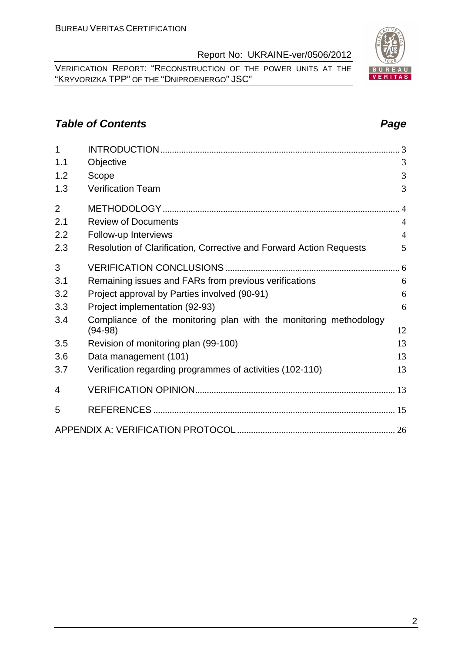VERIFICATION REPORT: "RECONSTRUCTION OF THE POWER UNITS AT THE "KRYVORIZKA TPP" OF THE "DNIPROENERGO" JSC"

# **Table of Contents Page 2014**

| 1              |                                                                     |                |
|----------------|---------------------------------------------------------------------|----------------|
| 1.1            | Objective                                                           | 3              |
| 1.2            | Scope                                                               | 3              |
| 1.3            | Verification Team                                                   | 3              |
| $\overline{2}$ |                                                                     |                |
| 2.1            | <b>Review of Documents</b>                                          | $\overline{4}$ |
| 2.2            | Follow-up Interviews                                                | $\overline{4}$ |
| 2.3            | Resolution of Clarification, Corrective and Forward Action Requests | 5              |
| 3              |                                                                     |                |
| 3.1            | Remaining issues and FARs from previous verifications               | 6              |
| 3.2            | Project approval by Parties involved (90-91)                        | 6              |
| 3.3            | Project implementation (92-93)                                      | 6              |
| 3.4            | Compliance of the monitoring plan with the monitoring methodology   | 12             |
|                | $(94-98)$                                                           |                |
| 3.5            | Revision of monitoring plan (99-100)                                | 13             |
| 3.6            | Data management (101)                                               | 13             |
| 3.7            | Verification regarding programmes of activities (102-110)           | 13             |
| 4              |                                                                     |                |
| 5              |                                                                     |                |
|                |                                                                     |                |

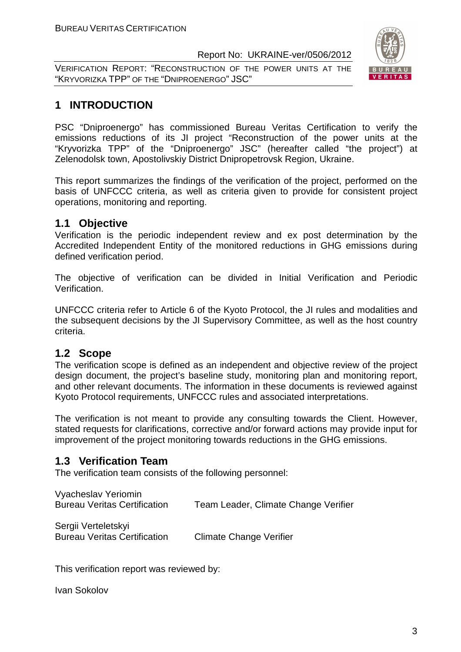VERIFICATION REPORT: "RECONSTRUCTION OF THE POWER UNITS AT THE "KRYVORIZKA TPP" OF THE "DNIPROENERGO" JSC"



# **1 INTRODUCTION**

PSC "Dniproenergo" has commissioned Bureau Veritas Certification to verify the emissions reductions of its JI project "Reconstruction of the power units at the "Kryvorizka TPP" of the "Dniproenergo" JSC" (hereafter called "the project") at Zelenodolsk town, Apostolivskiy District Dnipropetrovsk Region, Ukraine.

This report summarizes the findings of the verification of the project, performed on the basis of UNFCCC criteria, as well as criteria given to provide for consistent project operations, monitoring and reporting.

#### **1.1 Objective**

Verification is the periodic independent review and ex post determination by the Accredited Independent Entity of the monitored reductions in GHG emissions during defined verification period.

The objective of verification can be divided in Initial Verification and Periodic Verification.

UNFCCC criteria refer to Article 6 of the Kyoto Protocol, the JI rules and modalities and the subsequent decisions by the JI Supervisory Committee, as well as the host country criteria.

#### **1.2 Scope**

The verification scope is defined as an independent and objective review of the project design document, the project's baseline study, monitoring plan and monitoring report, and other relevant documents. The information in these documents is reviewed against Kyoto Protocol requirements, UNFCCC rules and associated interpretations.

The verification is not meant to provide any consulting towards the Client. However, stated requests for clarifications, corrective and/or forward actions may provide input for improvement of the project monitoring towards reductions in the GHG emissions.

# **1.3 Verification Team**

The verification team consists of the following personnel:

| Vyacheslav Yeriomin<br><b>Bureau Veritas Certification</b> | Team Leader, Climate Change Verifier |
|------------------------------------------------------------|--------------------------------------|
| Sergii Verteletskyi<br><b>Bureau Veritas Certification</b> | <b>Climate Change Verifier</b>       |

This verification report was reviewed by:

Ivan Sokolov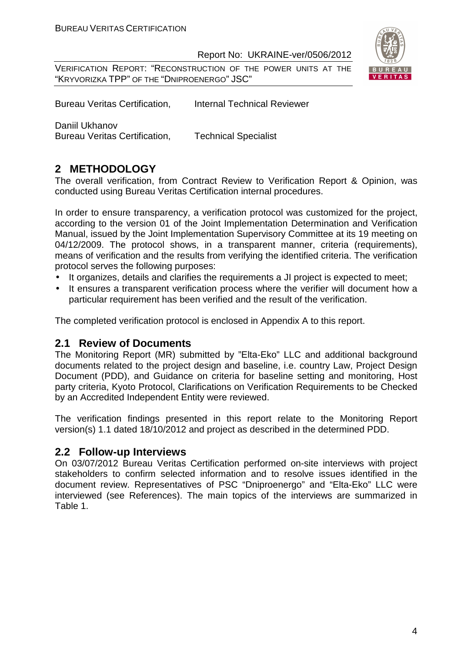VERIFICATION REPORT: "RECONSTRUCTION OF THE POWER UNITS AT THE "KRYVORIZKA TPP" OF THE "DNIPROENERGO" JSC"



Bureau Veritas Certification, Internal Technical Reviewer

Daniil Ukhanov

Bureau Veritas Certification, Technical Specialist

# **2 METHODOLOGY**

The overall verification, from Contract Review to Verification Report & Opinion, was conducted using Bureau Veritas Certification internal procedures.

In order to ensure transparency, a verification protocol was customized for the project, according to the version 01 of the Joint Implementation Determination and Verification Manual, issued by the Joint Implementation Supervisory Committee at its 19 meeting on 04/12/2009. The protocol shows, in a transparent manner, criteria (requirements), means of verification and the results from verifying the identified criteria. The verification protocol serves the following purposes:

- It organizes, details and clarifies the requirements a JI project is expected to meet;
- It ensures a transparent verification process where the verifier will document how a particular requirement has been verified and the result of the verification.

The completed verification protocol is enclosed in Appendix A to this report.

#### **2.1 Review of Documents**

The Monitoring Report (MR) submitted by "Elta-Eko" LLC and additional background documents related to the project design and baseline, i.e. country Law, Project Design Document (PDD), and Guidance on criteria for baseline setting and monitoring, Host party criteria, Kyoto Protocol, Clarifications on Verification Requirements to be Checked by an Accredited Independent Entity were reviewed.

The verification findings presented in this report relate to the Monitoring Report version(s) 1.1 dated 18/10/2012 and project as described in the determined PDD.

#### **2.2 Follow-up Interviews**

On 03/07/2012 Bureau Veritas Certification performed on-site interviews with project stakeholders to confirm selected information and to resolve issues identified in the document review. Representatives of PSC "Dniproenergo" and "Elta-Eko" LLC were interviewed (see References). The main topics of the interviews are summarized in Table 1.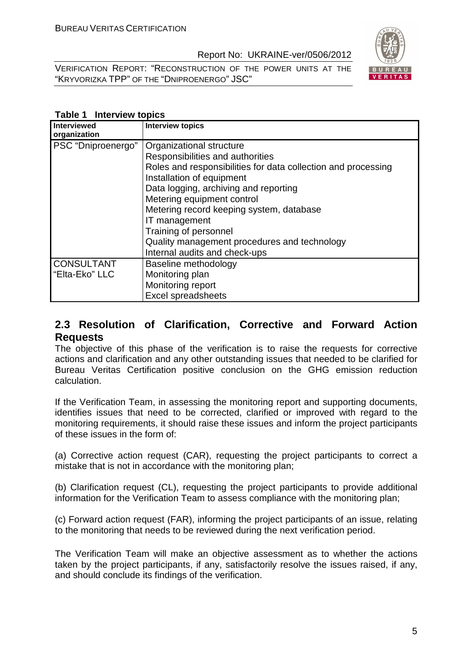VERIFICATION REPORT: "RECONSTRUCTION OF THE POWER UNITS AT THE "KRYVORIZKA TPP" OF THE "DNIPROENERGO" JSC"



#### **Table 1 Interview topics**

| <b>Interviewed</b><br>organization  | <b>Interview topics</b>                                                                                                                                                                                                                                                                                                                                                                                  |
|-------------------------------------|----------------------------------------------------------------------------------------------------------------------------------------------------------------------------------------------------------------------------------------------------------------------------------------------------------------------------------------------------------------------------------------------------------|
| PSC "Dniproenergo"                  | Organizational structure<br>Responsibilities and authorities<br>Roles and responsibilities for data collection and processing<br>Installation of equipment<br>Data logging, archiving and reporting<br>Metering equipment control<br>Metering record keeping system, database<br>IT management<br>Training of personnel<br>Quality management procedures and technology<br>Internal audits and check-ups |
| <b>CONSULTANT</b><br>"Elta-Eko" LLC | Baseline methodology<br>Monitoring plan<br>Monitoring report<br><b>Excel spreadsheets</b>                                                                                                                                                                                                                                                                                                                |

#### **2.3 Resolution of Clarification, Corrective and Forward Action Requests**

The objective of this phase of the verification is to raise the requests for corrective actions and clarification and any other outstanding issues that needed to be clarified for Bureau Veritas Certification positive conclusion on the GHG emission reduction calculation.

If the Verification Team, in assessing the monitoring report and supporting documents, identifies issues that need to be corrected, clarified or improved with regard to the monitoring requirements, it should raise these issues and inform the project participants of these issues in the form of:

(a) Corrective action request (CAR), requesting the project participants to correct a mistake that is not in accordance with the monitoring plan;

(b) Clarification request (CL), requesting the project participants to provide additional information for the Verification Team to assess compliance with the monitoring plan;

(c) Forward action request (FAR), informing the project participants of an issue, relating to the monitoring that needs to be reviewed during the next verification period.

The Verification Team will make an objective assessment as to whether the actions taken by the project participants, if any, satisfactorily resolve the issues raised, if any, and should conclude its findings of the verification.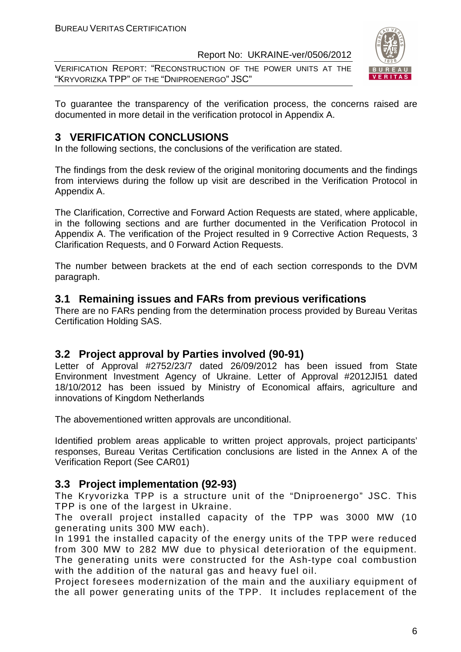VERIFICATION REPORT: "RECONSTRUCTION OF THE POWER UNITS AT THE "KRYVORIZKA TPP" OF THE "DNIPROENERGO" JSC"



To guarantee the transparency of the verification process, the concerns raised are documented in more detail in the verification protocol in Appendix A.

### **3 VERIFICATION CONCLUSIONS**

In the following sections, the conclusions of the verification are stated.

The findings from the desk review of the original monitoring documents and the findings from interviews during the follow up visit are described in the Verification Protocol in Appendix A.

The Clarification, Corrective and Forward Action Requests are stated, where applicable, in the following sections and are further documented in the Verification Protocol in Appendix A. The verification of the Project resulted in 9 Corrective Action Requests, 3 Clarification Requests, and 0 Forward Action Requests.

The number between brackets at the end of each section corresponds to the DVM paragraph.

#### **3.1 Remaining issues and FARs from previous verifications**

There are no FARs pending from the determination process provided by Bureau Veritas Certification Holding SAS.

#### **3.2 Project approval by Parties involved (90-91)**

Letter of Approval #2752/23/7 dated 26/09/2012 has been issued from State Environment Investment Agency of Ukraine. Letter of Approval #2012JI51 dated 18/10/2012 has been issued by Ministry of Economical affairs, agriculture and innovations of Kingdom Netherlands

The abovementioned written approvals are unconditional.

Identified problem areas applicable to written project approvals, project participants' responses, Bureau Veritas Certification conclusions are listed in the Annex A of the Verification Report (See CAR01)

#### **3.3 Project implementation (92-93)**

The Kryvorizka TPP is a structure unit of the "Dniproenergo" JSC. This TPP is one of the largest in Ukraine.

The overall project installed capacity of the TPP was 3000 MW (10 generating units 300 MW each).

In 1991 the installed capacity of the energy units of the TPP were reduced from 300 MW to 282 MW due to physical deterioration of the equipment. The generating units were constructed for the Ash-type coal combustion with the addition of the natural gas and heavy fuel oil.

Project foresees modernization of the main and the auxiliary equipment of the all power generating units of the TPP. It includes replacement of the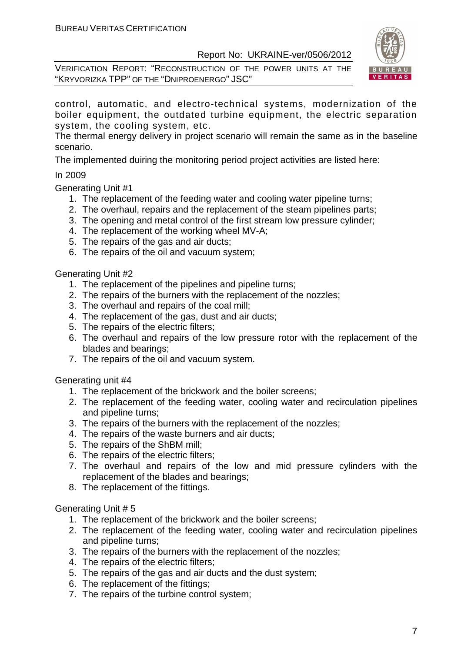VERIFICATION REPORT: "RECONSTRUCTION OF THE POWER UNITS AT THE "KRYVORIZKA TPP" OF THE "DNIPROENERGO" JSC"



control, automatic, and electro-technical systems, modernization of the boiler equipment, the outdated turbine equipment, the electric separation system, the cooling system, etc.

The thermal energy delivery in project scenario will remain the same as in the baseline scenario.

The implemented duiring the monitoring period project activities are listed here:

#### In 2009

Generating Unit #1

- 1. The replacement of the feeding water and cooling water pipeline turns;
- 2. The overhaul, repairs and the replacement of the steam pipelines parts;
- 3. The opening and metal control of the first stream low pressure cylinder;
- 4. The replacement of the working wheel MV-A;
- 5. The repairs of the gas and air ducts;
- 6. The repairs of the oil and vacuum system;

#### Generating Unit #2

- 1. The replacement of the pipelines and pipeline turns;
- 2. The repairs of the burners with the replacement of the nozzles;
- 3. The overhaul and repairs of the coal mill;
- 4. The replacement of the gas, dust and air ducts;
- 5. The repairs of the electric filters;
- 6. The overhaul and repairs of the low pressure rotor with the replacement of the blades and bearings;
- 7. The repairs of the oil and vacuum system.

Generating unit #4

- 1. The replacement of the brickwork and the boiler screens;
- 2. The replacement of the feeding water, cooling water and recirculation pipelines and pipeline turns;
- 3. The repairs of the burners with the replacement of the nozzles;
- 4. The repairs of the waste burners and air ducts;
- 5. The repairs of the ShBM mill;
- 6. The repairs of the electric filters;
- 7. The overhaul and repairs of the low and mid pressure cylinders with the replacement of the blades and bearings;
- 8. The replacement of the fittings.

Generating Unit # 5

- 1. The replacement of the brickwork and the boiler screens;
- 2. The replacement of the feeding water, cooling water and recirculation pipelines and pipeline turns;
- 3. The repairs of the burners with the replacement of the nozzles;
- 4. The repairs of the electric filters;
- 5. The repairs of the gas and air ducts and the dust system;
- 6. The replacement of the fittings;
- 7. The repairs of the turbine control system;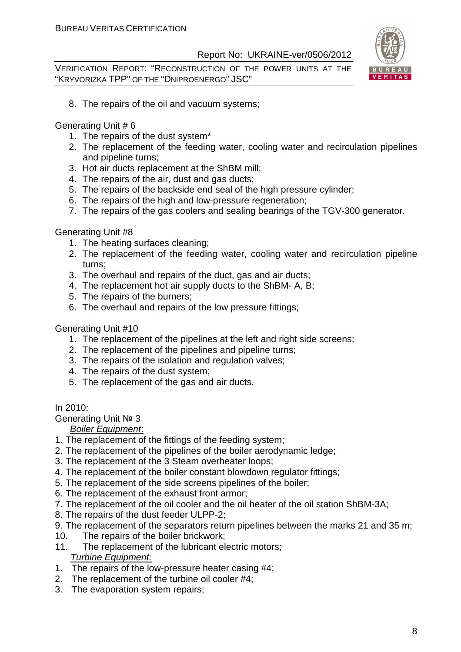VERIFICATION REPORT: "RECONSTRUCTION OF THE POWER UNITS AT THE "KRYVORIZKA TPP" OF THE "DNIPROENERGO" JSC"



8. The repairs of the oil and vacuum systems;

Generating Unit # 6

- 1. The repairs of the dust system\*
- 2. The replacement of the feeding water, cooling water and recirculation pipelines and pipeline turns;
- 3. Hot air ducts replacement at the ShBM mill;
- 4. The repairs of the air, dust and gas ducts;
- 5. The repairs of the backside end seal of the high pressure cylinder;
- 6. The repairs of the high and low-pressure regeneration;
- 7. The repairs of the gas coolers and sealing bearings of the TGV-300 generator.

#### Generating Unit #8

- 1. The heating surfaces cleaning;
- 2. The replacement of the feeding water, cooling water and recirculation pipeline turns;
- 3. The overhaul and repairs of the duct, gas and air ducts;
- 4. The replacement hot air supply ducts to the ShBM- A, B;
- 5. The repairs of the burners;
- 6. The overhaul and repairs of the low pressure fittings;

#### Generating Unit #10

- 1. The replacement of the pipelines at the left and right side screens;
- 2. The replacement of the pipelines and pipeline turns;
- 3. The repairs of the isolation and regulation valves;
- 4. The repairs of the dust system;
- 5. The replacement of the gas and air ducts.

In 2010:

Generating Unit № 3

#### Boiler Equipment:

- 1. The replacement of the fittings of the feeding system;
- 2. The replacement of the pipelines of the boiler aerodynamic ledge;
- 3. The replacement of the 3 Steam overheater loops;
- 4. The replacement of the boiler constant blowdown regulator fittings;
- 5. The replacement of the side screens pipelines of the boiler;
- 6. The replacement of the exhaust front armor;
- 7. The replacement of the oil cooler and the oil heater of the oil station ShBM-3A;
- 8. The repairs of the dust feeder ULPP-2;
- 9. The replacement of the separators return pipelines between the marks 21 and 35 m;
- 10. The repairs of the boiler brickwork;
- 11. The replacement of the lubricant electric motors; Turbine Equipment:
- 1. The repairs of the low-pressure heater casing #4;
- 2. The replacement of the turbine oil cooler #4;
- 3. The evaporation system repairs;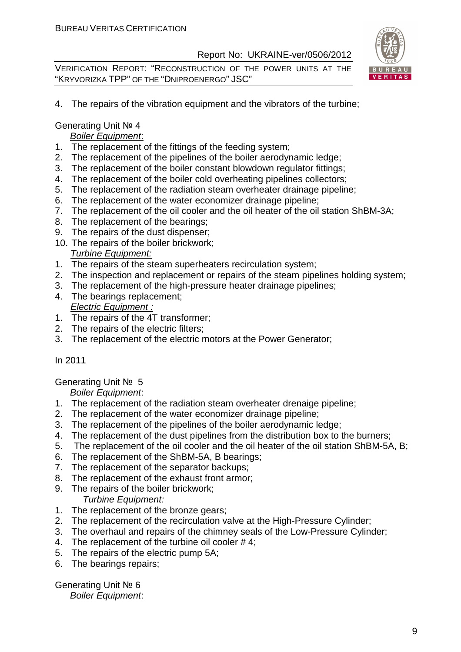VERIFICATION REPORT: "RECONSTRUCTION OF THE POWER UNITS AT THE "KRYVORIZKA TPP" OF THE "DNIPROENERGO" JSC"



4. The repairs of the vibration equipment and the vibrators of the turbine;

#### Generating Unit № 4

#### Boiler Equipment:

- 1. The replacement of the fittings of the feeding system;
- 2. The replacement of the pipelines of the boiler aerodynamic ledge;
- 3. The replacement of the boiler constant blowdown regulator fittings;
- 4. The replacement of the boiler cold overheating pipelines collectors;
- 5. The replacement of the radiation steam overheater drainage pipeline;
- 6. The replacement of the water economizer drainage pipeline;
- 7. The replacement of the oil cooler and the oil heater of the oil station ShBM-3A;
- 8. The replacement of the bearings;
- 9. The repairs of the dust dispenser;
- 10. The repairs of the boiler brickwork;
- Turbine Equipment:
- 1. The repairs of the steam superheaters recirculation system;
- 2. The inspection and replacement or repairs of the steam pipelines holding system;
- 3. The replacement of the high-pressure heater drainage pipelines;
- 4. The bearings replacement; Electric Equipment :
- 1. The repairs of the 4T transformer;
- 2. The repairs of the electric filters;
- 3. The replacement of the electric motors at the Power Generator;

#### In 2011

#### Generating Unit № 5

#### Boiler Equipment:

- 1. The replacement of the radiation steam overheater drenaige pipeline;
- 2. The replacement of the water economizer drainage pipeline;
- 3. The replacement of the pipelines of the boiler aerodynamic ledge;
- 4. The replacement of the dust pipelines from the distribution box to the burners;
- 5. The replacement of the oil cooler and the oil heater of the oil station ShBM-5A, B;
- 6. The replacement of the ShBM-5A, B bearings;
- 7. The replacement of the separator backups;
- 8. The replacement of the exhaust front armor;
- 9. The repairs of the boiler brickwork;

#### Turbine Equipment:

- 1. The replacement of the bronze gears:
- 2. The replacement of the recirculation valve at the High-Pressure Cylinder;
- 3. The overhaul and repairs of the chimney seals of the Low-Pressure Cylinder;
- 4. The replacement of the turbine oil cooler #4;
- 5. The repairs of the electric pump 5A;
- 6. The bearings repairs;

# Generating Unit № 6

#### Boiler Equipment: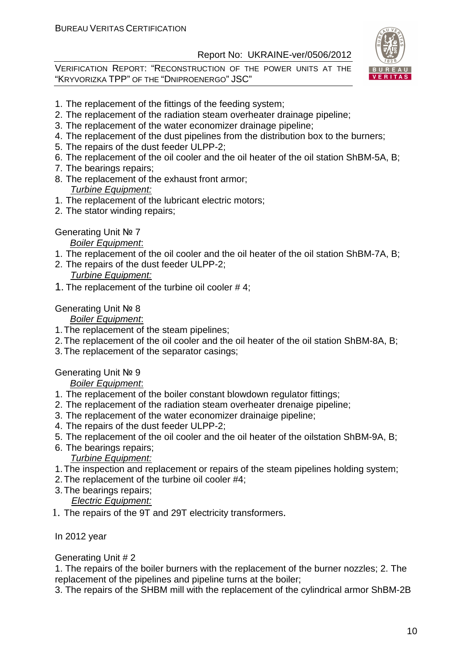VERIFICATION REPORT: "RECONSTRUCTION OF THE POWER UNITS AT THE "KRYVORIZKA TPP" OF THE "DNIPROENERGO" JSC"



- 1. The replacement of the fittings of the feeding system;
- 2. The replacement of the radiation steam overheater drainage pipeline;
- 3. The replacement of the water economizer drainage pipeline;
- 4. The replacement of the dust pipelines from the distribution box to the burners;
- 5. The repairs of the dust feeder ULPP-2;
- 6. The replacement of the oil cooler and the oil heater of the oil station ShBM-5A, B;
- 7. The bearings repairs;
- 8. The replacement of the exhaust front armor;

#### Turbine Equipment:

- 1. The replacement of the lubricant electric motors;
- 2. The stator winding repairs;

#### Generating Unit № 7

#### Boiler Equipment:

- 1. The replacement of the oil cooler and the oil heater of the oil station ShBM-7A, B;
- 2. The repairs of the dust feeder ULPP-2;

#### Turbine Equipment:

1. The replacement of the turbine oil cooler # 4;

#### Generating Unit № 8

#### Boiler Equipment:

- 1. The replacement of the steam pipelines;
- 2. The replacement of the oil cooler and the oil heater of the oil station ShBM-8A, B;
- 3. The replacement of the separator casings;

#### Generating Unit № 9

#### **Boiler Equipment:**

- 1. The replacement of the boiler constant blowdown regulator fittings;
- 2. The replacement of the radiation steam overheater drenaige pipeline;
- 3. The replacement of the water economizer drainaige pipeline;
- 4. The repairs of the dust feeder ULPP-2;
- 5. The replacement of the oil cooler and the oil heater of the oilstation ShBM-9A, B;
- 6. The bearings repairs; Turbine Equipment:
- 1. The inspection and replacement or repairs of the steam pipelines holding system;
- 2. The replacement of the turbine oil cooler #4;
- 3. The bearings repairs;

#### Electric Equipment:

1. The repairs of the 9T and 29T electricity transformers.

#### In 2012 year

#### Generating Unit # 2

1. The repairs of the boiler burners with the replacement of the burner nozzles; 2. The replacement of the pipelines and pipeline turns at the boiler;

3. The repairs of the SHBM mill with the replacement of the cylindrical armor ShBM-2B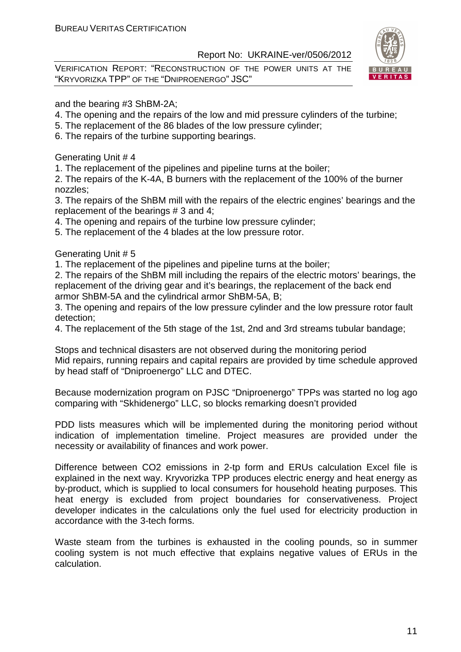VERIFICATION REPORT: "RECONSTRUCTION OF THE POWER UNITS AT THE "KRYVORIZKA TPP" OF THE "DNIPROENERGO" JSC"



and the bearing #3 ShBM-2A;

- 4. The opening and the repairs of the low and mid pressure cylinders of the turbine;
- 5. The replacement of the 86 blades of the low pressure cylinder;
- 6. The repairs of the turbine supporting bearings.

Generating Unit # 4

1. The replacement of the pipelines and pipeline turns at the boiler;

2. The repairs of the K-4A, B burners with the replacement of the 100% of the burner nozzles;

3. The repairs of the ShBM mill with the repairs of the electric engines' bearings and the replacement of the bearings # 3 and 4;

4. The opening and repairs of the turbine low pressure cylinder;

5. The replacement of the 4 blades at the low pressure rotor.

Generating Unit # 5

1. The replacement of the pipelines and pipeline turns at the boiler;

2. The repairs of the ShBM mill including the repairs of the electric motors' bearings, the replacement of the driving gear and it's bearings, the replacement of the back end armor ShBM-5A and the cylindrical armor ShBM-5A, B;

3. The opening and repairs of the low pressure cylinder and the low pressure rotor fault detection;

4. The replacement of the 5th stage of the 1st, 2nd and 3rd streams tubular bandage;

Stops and technical disasters are not observed during the monitoring period Mid repairs, running repairs and capital repairs are provided by time schedule approved by head staff of "Dniproenergo" LLC and DTEC.

Because modernization program on PJSC "Dniproenergo" TPPs was started no log ago comparing with "Skhidenergo" LLC, so blocks remarking doesn't provided

PDD lists measures which will be implemented during the monitoring period without indication of implementation timeline. Project measures are provided under the necessity or availability of finances and work power.

Difference between CO2 emissions in 2-tp form and ERUs calculation Excel file is explained in the next way. Kryvorizka TPP produces electric energy and heat energy as by-product, which is supplied to local consumers for household heating purposes. This heat energy is excluded from project boundaries for conservativeness. Project developer indicates in the calculations only the fuel used for electricity production in accordance with the 3-tech forms.

Waste steam from the turbines is exhausted in the cooling pounds, so in summer cooling system is not much effective that explains negative values of ERUs in the calculation.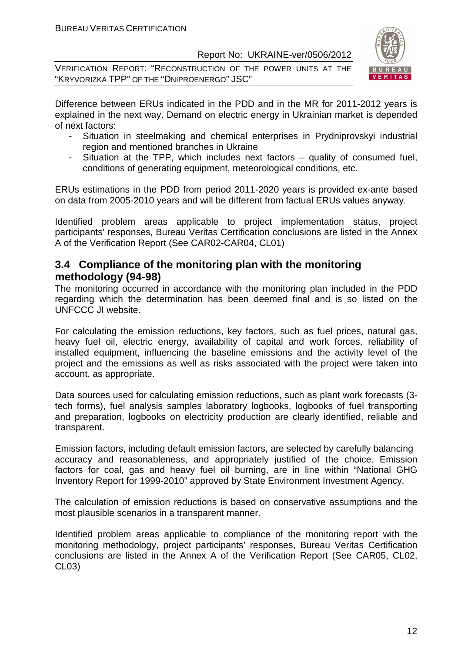VERIFICATION REPORT: "RECONSTRUCTION OF THE POWER UNITS AT THE "KRYVORIZKA TPP" OF THE "DNIPROENERGO" JSC"



Difference between ERUs indicated in the PDD and in the MR for 2011-2012 years is explained in the next way. Demand on electric energy in Ukrainian market is depended of next factors:

- Situation in steelmaking and chemical enterprises in Prydniprovskyi industrial region and mentioned branches in Ukraine
- Situation at the TPP, which includes next factors quality of consumed fuel, conditions of generating equipment, meteorological conditions, etc.

ERUs estimations in the PDD from period 2011-2020 years is provided ex-ante based on data from 2005-2010 years and will be different from factual ERUs values anyway.

Identified problem areas applicable to project implementation status, project participants' responses, Bureau Veritas Certification conclusions are listed in the Annex A of the Verification Report (See CAR02-CAR04, CL01)

#### **3.4 Compliance of the monitoring plan with the monitoring methodology (94-98)**

The monitoring occurred in accordance with the monitoring plan included in the PDD regarding which the determination has been deemed final and is so listed on the UNFCCC JI website.

For calculating the emission reductions, key factors, such as fuel prices, natural gas, heavy fuel oil, electric energy, availability of capital and work forces, reliability of installed equipment, influencing the baseline emissions and the activity level of the project and the emissions as well as risks associated with the project were taken into account, as appropriate.

Data sources used for calculating emission reductions, such as plant work forecasts (3 tech forms), fuel analysis samples laboratory logbooks, logbooks of fuel transporting and preparation, logbooks on electricity production are clearly identified, reliable and transparent.

Emission factors, including default emission factors, are selected by carefully balancing accuracy and reasonableness, and appropriately justified of the choice. Emission factors for coal, gas and heavy fuel oil burning, are in line within "National GHG Inventory Report for 1999-2010" approved by State Environment Investment Agency.

The calculation of emission reductions is based on conservative assumptions and the most plausible scenarios in a transparent manner.

Identified problem areas applicable to compliance of the monitoring report with the monitoring methodology, project participants' responses, Bureau Veritas Certification conclusions are listed in the Annex A of the Verification Report (See CAR05, CL02, CL03)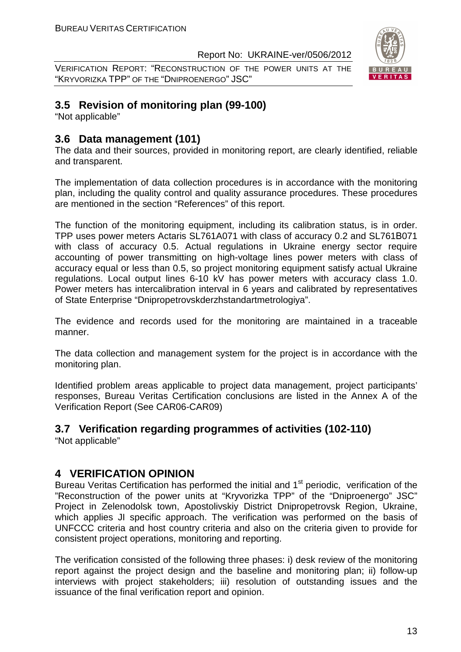VERIFICATION REPORT: "RECONSTRUCTION OF THE POWER UNITS AT THE "KRYVORIZKA TPP" OF THE "DNIPROENERGO" JSC"



# **3.5 Revision of monitoring plan (99-100)**

"Not applicable"

# **3.6 Data management (101)**

The data and their sources, provided in monitoring report, are clearly identified, reliable and transparent.

The implementation of data collection procedures is in accordance with the monitoring plan, including the quality control and quality assurance procedures. These procedures are mentioned in the section "References" of this report.

The function of the monitoring equipment, including its calibration status, is in order. TPP uses power meters Actaris SL761A071 with class of accuracy 0.2 and SL761В071 with class of accuracy 0.5. Actual regulations in Ukraine energy sector require accounting of power transmitting on high-voltage lines power meters with class of accuracy equal or less than 0.5, so project monitoring equipment satisfy actual Ukraine regulations. Local output lines 6-10 kV has power meters with accuracy class 1.0. Power meters has intercalibration interval in 6 years and calibrated by representatives of State Enterprise "Dnipropetrovskderzhstandartmetrologiya".

The evidence and records used for the monitoring are maintained in a traceable manner.

The data collection and management system for the project is in accordance with the monitoring plan.

Identified problem areas applicable to project data management, project participants' responses, Bureau Veritas Certification conclusions are listed in the Annex A of the Verification Report (See CAR06-CAR09)

#### **3.7 Verification regarding programmes of activities (102-110)**

"Not applicable"

#### **4 VERIFICATION OPINION**

Bureau Veritas Certification has performed the initial and 1<sup>st</sup> periodic, verification of the "Reconstruction of the power units at "Kryvorizka TPP" of the "Dniproenergo" JSC" Project in Zelenodolsk town, Apostolivskiy District Dnipropetrovsk Region, Ukraine, which applies JI specific approach. The verification was performed on the basis of UNFCCC criteria and host country criteria and also on the criteria given to provide for consistent project operations, monitoring and reporting.

The verification consisted of the following three phases: i) desk review of the monitoring report against the project design and the baseline and monitoring plan; ii) follow-up interviews with project stakeholders; iii) resolution of outstanding issues and the issuance of the final verification report and opinion.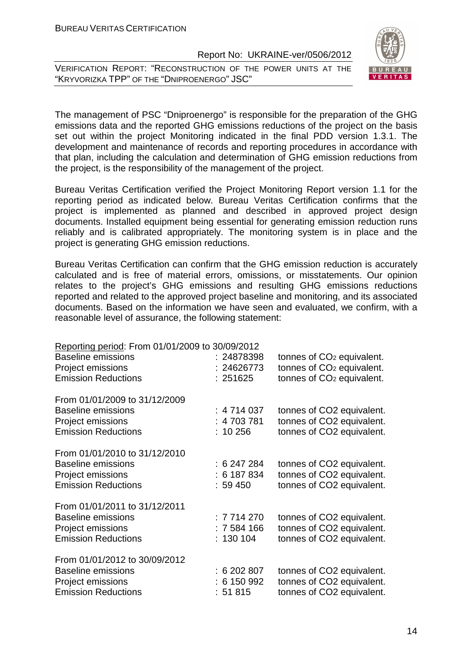VERIFICATION REPORT: "RECONSTRUCTION OF THE POWER UNITS AT THE "KRYVORIZKA TPP" OF THE "DNIPROENERGO" JSC"



The management of PSC "Dniproenergo" is responsible for the preparation of the GHG emissions data and the reported GHG emissions reductions of the project on the basis set out within the project Monitoring indicated in the final PDD version 1.3.1. The development and maintenance of records and reporting procedures in accordance with that plan, including the calculation and determination of GHG emission reductions from the project, is the responsibility of the management of the project.

Bureau Veritas Certification verified the Project Monitoring Report version 1.1 for the reporting period as indicated below. Bureau Veritas Certification confirms that the project is implemented as planned and described in approved project design documents. Installed equipment being essential for generating emission reduction runs reliably and is calibrated appropriately. The monitoring system is in place and the project is generating GHG emission reductions.

Bureau Veritas Certification can confirm that the GHG emission reduction is accurately calculated and is free of material errors, omissions, or misstatements. Our opinion relates to the project's GHG emissions and resulting GHG emissions reductions reported and related to the approved project baseline and monitoring, and its associated documents. Based on the information we have seen and evaluated, we confirm, with a reasonable level of assurance, the following statement:

| Reporting period: From 01/01/2009 to 30/09/2012 |             |                                       |
|-------------------------------------------------|-------------|---------------------------------------|
| <b>Baseline emissions</b>                       | : 24878398  | tonnes of CO <sub>2</sub> equivalent. |
| Project emissions                               | : 24626773  | tonnes of CO <sub>2</sub> equivalent. |
| <b>Emission Reductions</b>                      | : 251625    | tonnes of CO <sub>2</sub> equivalent. |
| From 01/01/2009 to 31/12/2009                   |             |                                       |
| <b>Baseline emissions</b>                       | : 4714037   | tonnes of CO2 equivalent.             |
| Project emissions                               | : 4 703 781 | tonnes of CO2 equivalent.             |
| <b>Emission Reductions</b>                      | $: 10\,256$ | tonnes of CO2 equivalent.             |
| From 01/01/2010 to 31/12/2010                   |             |                                       |
| <b>Baseline emissions</b>                       | : 6247284   | tonnes of CO2 equivalent.             |
| Project emissions                               | : 6187834   | tonnes of CO2 equivalent.             |
| <b>Emission Reductions</b>                      | : 59450     | tonnes of CO2 equivalent.             |
| From 01/01/2011 to 31/12/2011                   |             |                                       |
| <b>Baseline emissions</b>                       | : 7714270   | tonnes of CO2 equivalent.             |
| Project emissions                               | : 7 584 166 | tonnes of CO2 equivalent.             |
| <b>Emission Reductions</b>                      | : 130104    | tonnes of CO2 equivalent.             |
| From 01/01/2012 to 30/09/2012                   |             |                                       |
| <b>Baseline emissions</b>                       | : 6202807   | tonnes of CO2 equivalent.             |
| Project emissions                               | : 6150992   | tonnes of CO2 equivalent.             |
| <b>Emission Reductions</b>                      | : 51 815    | tonnes of CO2 equivalent.             |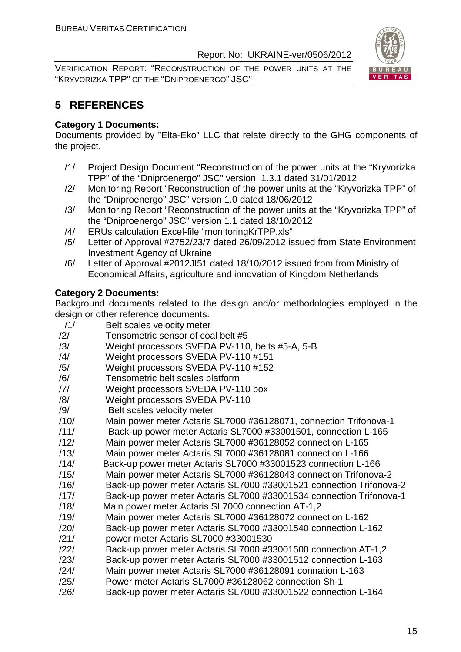VERIFICATION REPORT: "RECONSTRUCTION OF THE POWER UNITS AT THE "KRYVORIZKA TPP" OF THE "DNIPROENERGO" JSC"



# **5 REFERENCES**

#### **Category 1 Documents:**

Documents provided by "Elta-Eko" LLC that relate directly to the GHG components of the project.

- /1/ Project Design Document "Reconstruction of the power units at the "Kryvorizka TPP" of the "Dniproenergo" JSC" version 1.3.1 dated 31/01/2012
- /2/ Monitoring Report "Reconstruction of the power units at the "Kryvorizka TPP" of the "Dniproenergo" JSC" version 1.0 dated 18/06/2012
- /3/ Monitoring Report "Reconstruction of the power units at the "Kryvorizka TPP" of the "Dniproenergo" JSC" version 1.1 dated 18/10/2012
- /4/ ERUs calculation Excel-file "monitoringKrTPP.xls"
- /5/ Letter of Approval #2752/23/7 dated 26/09/2012 issued from State Environment Investment Agency of Ukraine
- /6/ Letter of Approval #2012JI51 dated 18/10/2012 issued from from Ministry of Economical Affairs, agriculture and innovation of Kingdom Netherlands

#### **Category 2 Documents:**

Background documents related to the design and/or methodologies employed in the design or other reference documents.

- /1/ Belt scales velocity meter
- /2/ Tensometric sensor of coal belt #5
- /3/ Weight processors SVEDA PV-110, belts #5-A, 5-B
- /4/ Weight processors SVEDA PV-110 #151
- /5/ Weight processors SVEDA PV-110 #152
- /6/ Tensometric belt scales platform
- /7/ Weight processors SVEDA PV-110 box
- /8/ Weight processors SVEDA PV-110
- /9/ Belt scales velocity meter
- /10/ Main power meter Actaris SL7000 #36128071, connection Trifonova-1
- /11/ Back-up power meter Actaris SL7000 #33001501, connection L-165
- /12/ Main power meter Actaris SL7000 #36128052 connection L-165
- /13/ Main power meter Actaris SL7000 #36128081 connection L-166
- /14/ Back-up power meter Actaris SL7000 #33001523 connection L-166
- /15/ Main power meter Actaris SL7000 #36128043 connection Trifonova-2
- /16/ Back-up power meter Actaris SL7000 #33001521 connection Trifonova-2
- /17/ Back-up power meter Actaris SL7000 #33001534 connection Trifonova-1
- /18/ Main power meter Actaris SL7000 connection AT-1,2
- /19/ Main power meter Actaris SL7000 #36128072 connection L-162
- /20/ Back-up power meter Actaris SL7000 #33001540 connection L-162 /21/ power meter Actaris SL7000 #33001530
- /22/ Back-up power meter Actaris SL7000 #33001500 connection AT-1,2
- /23/ Back-up power meter Actaris SL7000 #33001512 connection L-163
- /24/ Main power meter Actaris SL7000 #36128091 connation L-163
- /25/ Power meter Actaris SL7000 #36128062 connection Sh-1
- /26/ Back-up power meter Actaris SL7000 #33001522 connection L-164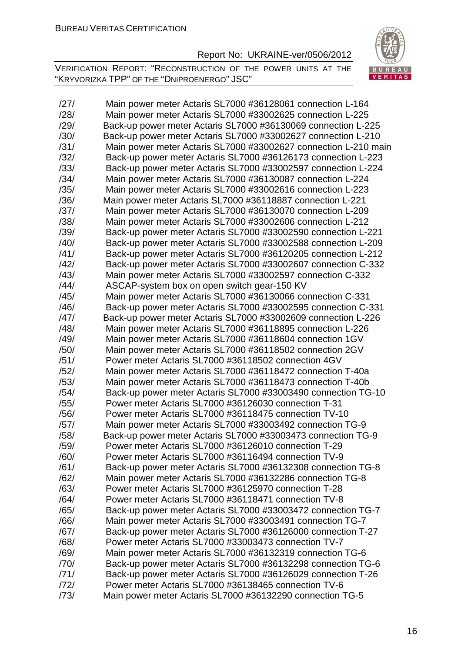VERIFICATION REPORT: "RECONSTRUCTION OF THE POWER UNITS AT THE "KRYVORIZKA TPP" OF THE "DNIPROENERGO" JSC"



/27/ Main power meter Actaris SL7000 #36128061 connection L-164 /28/ Main power meter Actaris SL7000 #33002625 connection L-225 /29/ Back-up power meter Actaris SL7000 #36130069 connection L-225 /30/ Back-up power meter Actaris SL7000 #33002627 connection L-210 /31/ Main power meter Actaris SL7000 #33002627 connection L-210 main /32/ Back-up power meter Actaris SL7000 #36126173 connection L-223 /33/ Back-up power meter Actaris SL7000 #33002597 connection L-224 /34/ Main power meter Actaris SL7000 #36130087 connection L-224 /35/ Main power meter Actaris SL7000 #33002616 connection L-223 /36/ Main power meter Actaris SL7000 #36118887 connection L-221 /37/ Main power meter Actaris SL7000 #36130070 connection L-209 /38/ Main power meter Actaris SL7000 #33002606 connection L-212 /39/ Back-up power meter Actaris SL7000 #33002590 connection L-221 /40/ Back-up power meter Actaris SL7000 #33002588 connection L-209 /41/ Back-up power meter Actaris SL7000 #36120205 connection L-212 /42/ Back-up power meter Actaris SL7000 #33002607 connection C-332 /43/ Main power meter Actaris SL7000 #33002597 connection C-332 /44/ ASCAP-system box on open switch gear-150 KV /45/ Main power meter Actaris SL7000 #36130066 connection C-331 /46/ Back-up power meter Actaris SL7000 #33002595 connection C-331 /47/ Back-up power meter Actaris SL7000 #33002609 connection L-226 /48/ Main power meter Actaris SL7000 #36118895 connection L-226 /49/ Main power meter Actaris SL7000 #36118604 connection 1GV /50/ Main power meter Actaris SL7000 #36118502 connection 2GV /51/ Power meter Actaris SL7000 #36118502 connection 4GV /52/ Main power meter Actaris SL7000 #36118472 connection T-40a /53/ Main power meter Actaris SL7000 #36118473 connection T-40b /54/ Back-up power meter Actaris SL7000 #33003490 connection TG-10 /55/ Power meter Actaris SL7000 #36126030 connection T-31 /56/ Power meter Actaris SL7000 #36118475 connection TV-10 /57/ Main power meter Actaris SL7000 #33003492 connection TG-9 /58/ Back-up power meter Actaris SL7000 #33003473 connection TG-9 /59/ Power meter Actaris SL7000 #36126010 connection T-29 /60/ Power meter Actaris SL7000 #36116494 connection TV-9 /61/ Back-up power meter Actaris SL7000 #36132308 connection TG-8 /62/ Main power meter Actaris SL7000 #36132286 connection TG-8 /63/ Power meter Actaris SL7000 #36125970 connection T-28 /64/ Power meter Actaris SL7000 #36118471 connection TV-8 /65/ Back-up power meter Actaris SL7000 #33003472 connection TG-7 /66/ Main power meter Actaris SL7000 #33003491 connection TG-7 /67/ Back-up power meter Actaris SL7000 #36126000 connection T-27 /68/ Power meter Actaris SL7000 #33003473 connection TV-7 /69/ Main power meter Actaris SL7000 #36132319 connection TG-6 /70/ Back-up power meter Actaris SL7000 #36132298 connection TG-6 /71/ Back-up power meter Actaris SL7000 #36126029 connection T-26 /72/ Power meter Actaris SL7000 #36138465 connection TV-6 /73/ Main power meter Actaris SL7000 #36132290 connection TG-5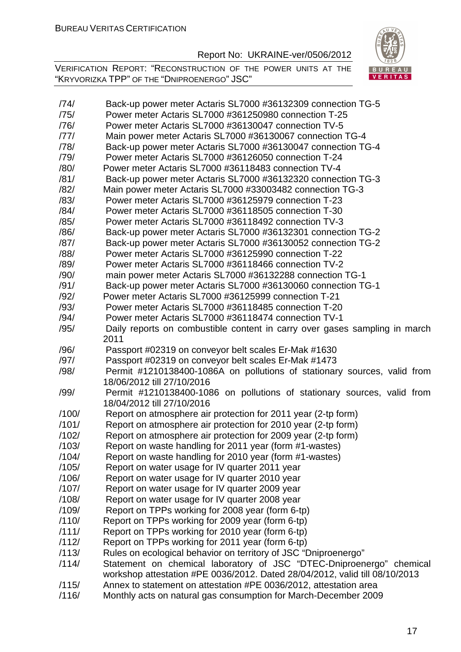VERIFICATION REPORT: "RECONSTRUCTION OF THE POWER UNITS AT THE "KRYVORIZKA TPP" OF THE "DNIPROENERGO" JSC"



| /74/  | Back-up power meter Actaris SL7000 #36132309 connection TG-5                                                                                        |
|-------|-----------------------------------------------------------------------------------------------------------------------------------------------------|
| /75/  | Power meter Actaris SL7000 #361250980 connection T-25                                                                                               |
| /76/  | Power meter Actaris SL7000 #36130047 connection TV-5                                                                                                |
| /77/  | Main power meter Actaris SL7000 #36130067 connection TG-4                                                                                           |
| /78/  | Back-up power meter Actaris SL7000 #36130047 connection TG-4                                                                                        |
| /79/  | Power meter Actaris SL7000 #36126050 connection T-24                                                                                                |
| /80/  | Power meter Actaris SL7000 #36118483 connection TV-4                                                                                                |
| /81/  | Back-up power meter Actaris SL7000 #36132320 connection TG-3                                                                                        |
| /82/  | Main power meter Actaris SL7000 #33003482 connection TG-3                                                                                           |
| /83/  | Power meter Actaris SL7000 #36125979 connection T-23                                                                                                |
| /84/  | Power meter Actaris SL7000 #36118505 connection T-30                                                                                                |
| /85/  |                                                                                                                                                     |
|       | Power meter Actaris SL7000 #36118492 connection TV-3                                                                                                |
| /86/  | Back-up power meter Actaris SL7000 #36132301 connection TG-2                                                                                        |
| /87/  | Back-up power meter Actaris SL7000 #36130052 connection TG-2                                                                                        |
| /88/  | Power meter Actaris SL7000 #36125990 connection T-22                                                                                                |
| /89/  | Power meter Actaris SL7000 #36118466 connection TV-2                                                                                                |
| /90/  | main power meter Actaris SL7000 #36132288 connection TG-1                                                                                           |
| /91/  | Back-up power meter Actaris SL7000 #36130060 connection TG-1                                                                                        |
| /92/  | Power meter Actaris SL7000 #36125999 connection T-21                                                                                                |
| /93/  | Power meter Actaris SL7000 #36118485 connection T-20                                                                                                |
| /94/  | Power meter Actaris SL7000 #36118474 connection TV-1                                                                                                |
| /95/  | Daily reports on combustible content in carry over gases sampling in march<br>2011                                                                  |
| /96/  |                                                                                                                                                     |
|       | Passport #02319 on conveyor belt scales Er-Mak #1630                                                                                                |
| /97/  | Passport #02319 on conveyor belt scales Er-Mak #1473                                                                                                |
| /98/  | Permit #1210138400-1086A on pollutions of stationary sources, valid from<br>18/06/2012 till 27/10/2016                                              |
| /99/  | Permit #1210138400-1086 on pollutions of stationary sources, valid from<br>18/04/2012 till 27/10/2016                                               |
|       |                                                                                                                                                     |
| /100/ | Report on atmosphere air protection for 2011 year (2-tp form)                                                                                       |
| /101/ | Report on atmosphere air protection for 2010 year (2-tp form)                                                                                       |
| /102/ | Report on atmosphere air protection for 2009 year (2-tp form)                                                                                       |
| /103/ | Report on waste handling for 2011 year (form #1-wastes)                                                                                             |
| /104/ | Report on waste handling for 2010 year (form #1-wastes)                                                                                             |
| /105/ | Report on water usage for IV quarter 2011 year                                                                                                      |
| /106/ | Report on water usage for IV quarter 2010 year                                                                                                      |
| /107/ | Report on water usage for IV quarter 2009 year                                                                                                      |
| /108/ | Report on water usage for IV quarter 2008 year                                                                                                      |
| /109/ | Report on TPPs working for 2008 year (form 6-tp)                                                                                                    |
| /110/ | Report on TPPs working for 2009 year (form 6-tp)                                                                                                    |
| /111/ | Report on TPPs working for 2010 year (form 6-tp)                                                                                                    |
| /112/ | Report on TPPs working for 2011 year (form 6-tp)                                                                                                    |
| /113/ | Rules on ecological behavior on territory of JSC "Dniproenergo"                                                                                     |
| /114/ | Statement on chemical laboratory of JSC "DTEC-Dniproenergo" chemical<br>workshop attestation #PE 0036/2012. Dated 28/04/2012, valid till 08/10/2013 |
| /115/ | Annex to statement on attestation #PE 0036/2012, attestation area                                                                                   |
|       |                                                                                                                                                     |

/116/ Monthly acts on natural gas consumption for March-December 2009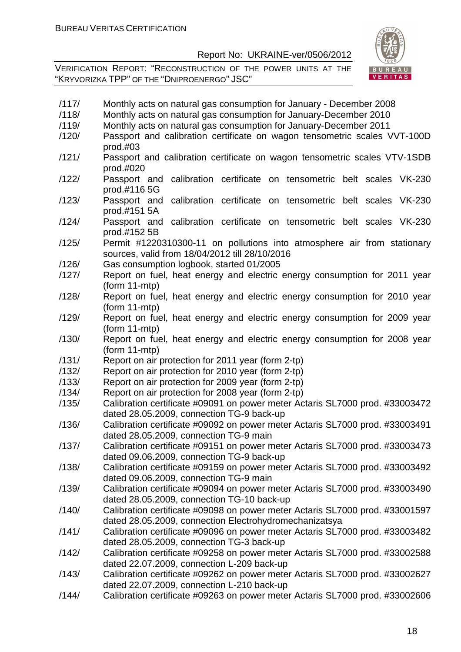VERIFICATION REPORT: "RECONSTRUCTION OF THE POWER UNITS AT THE "KRYVORIZKA TPP" OF THE "DNIPROENERGO" JSC"



| /117/ | Monthly acts on natural gas consumption for January - December 2008                                                        |
|-------|----------------------------------------------------------------------------------------------------------------------------|
| /118/ | Monthly acts on natural gas consumption for January-December 2010                                                          |
| /119/ | Monthly acts on natural gas consumption for January-December 2011                                                          |
| /120/ | Passport and calibration certificate on wagon tensometric scales VVT-100D<br>$prod.+103$                                   |
| /121/ | Passport and calibration certificate on wagon tensometric scales VTV-1SDB<br>prod.#020                                     |
| /122/ | calibration certificate on tensometric belt scales VK-230<br>Passport and<br>prod.#116 5G                                  |
| /123/ | Passport and calibration certificate on tensometric belt scales VK-230<br>prod.#151 5A                                     |
| /124/ | Passport and calibration certificate on tensometric belt scales VK-230<br>prod.#152 5B                                     |
| /125/ | Permit #1220310300-11 on pollutions into atmosphere air from stationary<br>sources, valid from 18/04/2012 till 28/10/2016  |
| /126/ | Gas consumption logbook, started 01/2005                                                                                   |
| /127/ | Report on fuel, heat energy and electric energy consumption for 2011 year<br>$(from 11-mtp)$                               |
| /128/ | Report on fuel, heat energy and electric energy consumption for 2010 year<br>$(from 11-mtp)$                               |
| /129/ | Report on fuel, heat energy and electric energy consumption for 2009 year<br>$(from 11-mtp)$                               |
| /130/ | Report on fuel, heat energy and electric energy consumption for 2008 year<br>$(from 11-mtp)$                               |
| /131/ | Report on air protection for 2011 year (form 2-tp)                                                                         |
| /132/ | Report on air protection for 2010 year (form 2-tp)                                                                         |
| /133/ | Report on air protection for 2009 year (form 2-tp)                                                                         |
| /134/ | Report on air protection for 2008 year (form 2-tp)                                                                         |
| /135/ | Calibration certificate #09091 on power meter Actaris SL7000 prod. #33003472                                               |
|       | dated 28.05.2009, connection TG-9 back-up                                                                                  |
| /136/ | Calibration certificate #09092 on power meter Actaris SL7000 prod. #33003491                                               |
|       | dated 28.05.2009, connection TG-9 main                                                                                     |
| /137/ | Calibration certificate #09151 on power meter Actaris SL7000 prod. #33003473                                               |
|       | dated 09.06.2009, connection TG-9 back-up                                                                                  |
| /138/ | Calibration certificate #09159 on power meter Actaris SL7000 prod. #33003492                                               |
|       | dated 09.06.2009, connection TG-9 main                                                                                     |
| /139/ | Calibration certificate #09094 on power meter Actaris SL7000 prod. #33003490                                               |
|       | dated 28.05.2009, connection TG-10 back-up                                                                                 |
| /140/ | Calibration certificate #09098 on power meter Actaris SL7000 prod. #33001597                                               |
|       | dated 28.05.2009, connection Electrohydromechanizatsya                                                                     |
| /141/ | Calibration certificate #09096 on power meter Actaris SL7000 prod. #33003482                                               |
|       | dated 28.05.2009, connection TG-3 back-up                                                                                  |
| /142/ | Calibration certificate #09258 on power meter Actaris SL7000 prod. #33002588                                               |
|       | dated 22.07.2009, connection L-209 back-up                                                                                 |
| /143/ | Calibration certificate #09262 on power meter Actaris SL7000 prod. #33002627<br>dated 22.07.2009, connection L-210 back-up |

/144/ Calibration certificate #09263 on power meter Actaris SL7000 prod. #33002606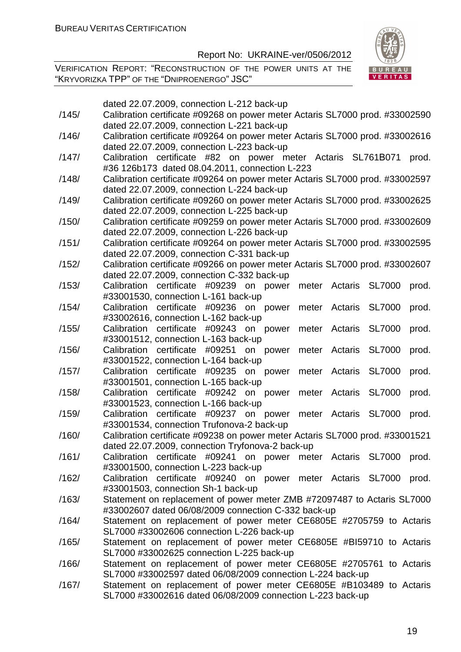VERIFICATION REPORT: "RECONSTRUCTION OF THE POWER UNITS AT THE "KRYVORIZKA TPP" OF THE "DNIPROENERGO" JSC"



|       | dated 22.07.2009, connection L-212 back-up                                               |
|-------|------------------------------------------------------------------------------------------|
| /145/ | Calibration certificate #09268 on power meter Actaris SL7000 prod. #33002590             |
|       | dated 22.07.2009, connection L-221 back-up                                               |
| /146/ | Calibration certificate #09264 on power meter Actaris SL7000 prod. #33002616             |
|       | dated 22.07.2009, connection L-223 back-up                                               |
| /147/ | Calibration certificate #82 on power meter Actaris SL761B071<br>prod.                    |
|       | #36 126b173 dated 08.04.2011, connection L-223                                           |
| /148/ | Calibration certificate #09264 on power meter Actaris SL7000 prod. #33002597             |
|       | dated 22.07.2009, connection L-224 back-up                                               |
| /149/ | Calibration certificate #09260 on power meter Actaris SL7000 prod. #33002625             |
|       | dated 22.07.2009, connection L-225 back-up                                               |
| /150/ | Calibration certificate #09259 on power meter Actaris SL7000 prod. #33002609             |
|       | dated 22.07.2009, connection L-226 back-up                                               |
| /151/ | Calibration certificate #09264 on power meter Actaris SL7000 prod. #33002595             |
|       | dated 22.07.2009, connection C-331 back-up                                               |
| /152/ | Calibration certificate #09266 on power meter Actaris SL7000 prod. #33002607             |
|       | dated 22.07.2009, connection C-332 back-up                                               |
| /153/ | meter Actaris SL7000<br>Calibration certificate #09239 on power<br>prod.                 |
|       | #33001530, connection L-161 back-up                                                      |
| /154/ | Calibration certificate #09236 on power<br>Actaris<br><b>SL7000</b><br>prod.<br>meter    |
|       | #33002616, connection L-162 back-up                                                      |
| /155/ | Calibration certificate #09243 on power<br>meter Actaris<br><b>SL7000</b><br>prod.       |
|       | #33001512, connection L-163 back-up                                                      |
| /156/ | <b>SL7000</b><br>Calibration certificate #09251 on power<br>meter Actaris<br>prod.       |
|       | #33001522, connection L-164 back-up                                                      |
| /157/ | certificate #09235 on power<br><b>SL7000</b><br>Calibration<br>Actaris<br>prod.<br>meter |
|       | #33001501, connection L-165 back-up                                                      |
| /158/ | Calibration certificate #09242 on power<br>Actaris<br><b>SL7000</b><br>prod.<br>meter    |
|       | #33001523, connection L-166 back-up                                                      |
| /159/ | Calibration certificate #09237 on power<br>meter Actaris<br><b>SL7000</b><br>prod.       |
|       | #33001534, connection Trufonova-2 back-up                                                |
| /160/ | Calibration certificate #09238 on power meter Actaris SL7000 prod. #33001521             |
|       | dated 22.07.2009, connection Tryfonova-2 back-up                                         |
| /161/ | Calibration certificate #09241 on power meter Actaris SL7000<br>prod.                    |
|       | #33001500, connection L-223 back-up                                                      |
| /162/ | Calibration certificate #09240 on power meter Actaris SL7000<br>prod.                    |
|       | #33001503, connection Sh-1 back-up                                                       |
| /163/ | Statement on replacement of power meter ZMB #72097487 to Actaris SL7000                  |
|       | #33002607 dated 06/08/2009 connection C-332 back-up                                      |
| /164/ | Statement on replacement of power meter CE6805E #2705759 to Actaris                      |
|       | SL7000 #33002606 connection L-226 back-up                                                |
| /165/ | Statement on replacement of power meter CE6805E #BI59710 to Actaris                      |
|       | SL7000 #33002625 connection L-225 back-up                                                |
| /166/ | Statement on replacement of power meter CE6805E #2705761 to Actaris                      |
|       | SL7000 #33002597 dated 06/08/2009 connection L-224 back-up                               |
| /167/ | Statement on replacement of power meter CE6805E #B103489 to Actaris                      |

SL7000 #33002616 dated 06/08/2009 connection L-223 back-up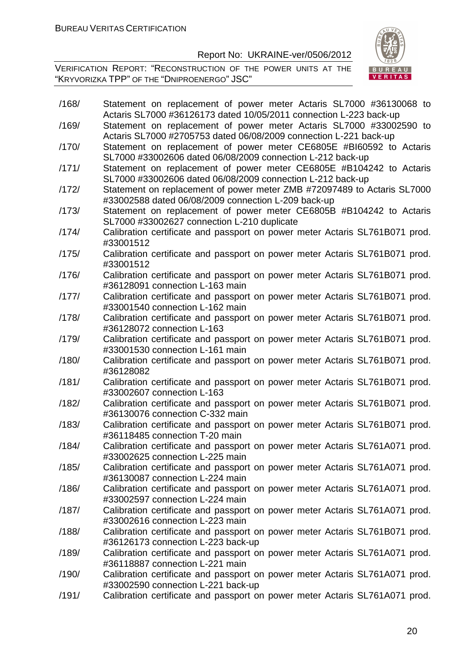

| /168/ | Statement on replacement of power meter Actaris SL7000 #36130068 to                                                                      |
|-------|------------------------------------------------------------------------------------------------------------------------------------------|
|       | Actaris SL7000 #36126173 dated 10/05/2011 connection L-223 back-up                                                                       |
| /169/ | Statement on replacement of power meter Actaris SL7000 #33002590 to<br>Actaris SL7000 #2705753 dated 06/08/2009 connection L-221 back-up |
| /170/ | Statement on replacement of power meter CE6805E #BI60592 to Actaris                                                                      |
|       | SL7000 #33002606 dated 06/08/2009 connection L-212 back-up                                                                               |
| /171/ | Statement on replacement of power meter CE6805E #B104242 to Actaris                                                                      |
|       | SL7000 #33002606 dated 06/08/2009 connection L-212 back-up                                                                               |
| /172/ | Statement on replacement of power meter ZMB #72097489 to Actaris SL7000                                                                  |
|       | #33002588 dated 06/08/2009 connection L-209 back-up                                                                                      |
| /173/ | Statement on replacement of power meter CE6805B #B104242 to Actaris                                                                      |
|       | SL7000 #33002627 connection L-210 duplicate                                                                                              |
| /174/ | Calibration certificate and passport on power meter Actaris SL761B071 prod.                                                              |
|       | #33001512                                                                                                                                |
| /175/ | Calibration certificate and passport on power meter Actaris SL761B071 prod.                                                              |
|       | #33001512                                                                                                                                |
| /176/ | Calibration certificate and passport on power meter Actaris SL761B071 prod.                                                              |
|       | #36128091 connection L-163 main                                                                                                          |
| /177/ | Calibration certificate and passport on power meter Actaris SL761B071 prod.                                                              |
|       | #33001540 connection L-162 main                                                                                                          |
| /178/ | Calibration certificate and passport on power meter Actaris SL761B071 prod.                                                              |
|       | #36128072 connection L-163                                                                                                               |
| /179/ | Calibration certificate and passport on power meter Actaris SL761B071 prod.                                                              |
|       | #33001530 connection L-161 main                                                                                                          |
| /180/ | Calibration certificate and passport on power meter Actaris SL761B071 prod.                                                              |
|       | #36128082                                                                                                                                |
| /181/ | Calibration certificate and passport on power meter Actaris SL761B071 prod.                                                              |
|       | #33002607 connection L-163                                                                                                               |
| /182/ | Calibration certificate and passport on power meter Actaris SL761B071 prod.                                                              |
|       | #36130076 connection C-332 main                                                                                                          |
| /183/ | Calibration certificate and passport on power meter Actaris SL761B071 prod.                                                              |
|       | #36118485 connection T-20 main                                                                                                           |
| /184/ | Calibration certificate and passport on power meter Actaris SL761A071 prod.                                                              |
|       | #33002625 connection L-225 main                                                                                                          |
| /185/ | Calibration certificate and passport on power meter Actaris SL761A071 prod.                                                              |
|       | #36130087 connection L-224 main                                                                                                          |
| /186/ | Calibration certificate and passport on power meter Actaris SL761A071 prod.                                                              |
|       | #33002597 connection L-224 main                                                                                                          |
| /187/ | Calibration certificate and passport on power meter Actaris SL761A071 prod.<br>#33002616 connection L-223 main                           |
| /188/ |                                                                                                                                          |
|       | Calibration certificate and passport on power meter Actaris SL761B071 prod.<br>#36126173 connection L-223 back-up                        |
|       |                                                                                                                                          |
| /189/ | Calibration certificate and passport on power meter Actaris SL761A071 prod.<br>#36118887 connection L-221 main                           |
| /190/ | Calibration certificate and passport on power meter Actaris SL761A071 prod.                                                              |
|       | #33002590 connection L-221 back-up                                                                                                       |
|       |                                                                                                                                          |
| /191/ | Calibration certificate and passport on power meter Actaris SL761A071 prod.                                                              |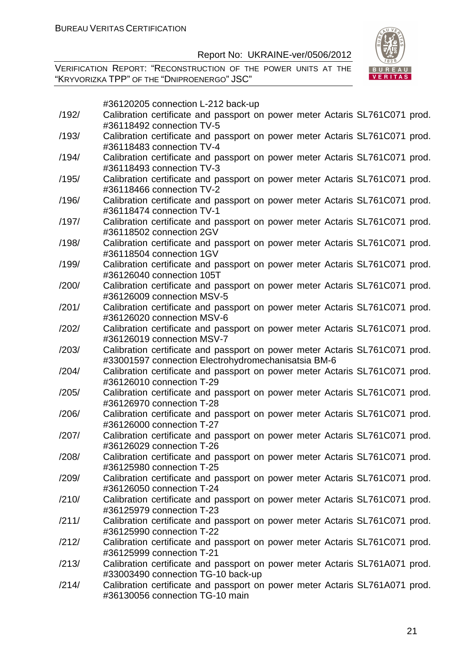VERIFICATION REPORT: "RECONSTRUCTION OF THE POWER UNITS AT THE "KRYVORIZKA TPP" OF THE "DNIPROENERGO" JSC"



#36120205 connection L-212 back-up

| /192/ | Calibration certificate and passport on power meter Actaris SL761C071 prod. |
|-------|-----------------------------------------------------------------------------|
|       | #36118492 connection TV-5                                                   |
| /193/ | Calibration certificate and passport on power meter Actaris SL761C071 prod. |
|       | #36118483 connection TV-4                                                   |
| /194/ | Calibration certificate and passport on power meter Actaris SL761C071 prod. |
|       | #36118493 connection TV-3                                                   |
| /195/ | Calibration certificate and passport on power meter Actaris SL761C071 prod. |
|       | #36118466 connection TV-2                                                   |
| /196/ | Calibration certificate and passport on power meter Actaris SL761C071 prod. |
|       | #36118474 connection TV-1                                                   |
| /197/ | Calibration certificate and passport on power meter Actaris SL761C071 prod. |
|       | #36118502 connection 2GV                                                    |
| /198/ | Calibration certificate and passport on power meter Actaris SL761C071 prod. |
|       | #36118504 connection 1GV                                                    |
| /199/ | Calibration certificate and passport on power meter Actaris SL761C071 prod. |
|       | #36126040 connection 105T                                                   |
| /200/ | Calibration certificate and passport on power meter Actaris SL761C071 prod. |
|       | #36126009 connection MSV-5                                                  |
| /201/ | Calibration certificate and passport on power meter Actaris SL761C071 prod. |
|       | #36126020 connection MSV-6                                                  |
| /202/ | Calibration certificate and passport on power meter Actaris SL761C071 prod. |
|       | #36126019 connection MSV-7                                                  |
| /203/ | Calibration certificate and passport on power meter Actaris SL761C071 prod. |
|       | #33001597 connection Electrohydromechanisatsia BM-6                         |
| /204/ | Calibration certificate and passport on power meter Actaris SL761C071 prod. |
|       | #36126010 connection T-29                                                   |
| /205/ | Calibration certificate and passport on power meter Actaris SL761C071 prod. |
|       | #36126970 connection T-28                                                   |
| /206/ | Calibration certificate and passport on power meter Actaris SL761C071 prod. |
|       | #36126000 connection T-27                                                   |
| /207/ | Calibration certificate and passport on power meter Actaris SL761C071 prod. |
|       | #36126029 connection T-26                                                   |
| /208/ | Calibration certificate and passport on power meter Actaris SL761C071 prod. |
|       | #36125980 connection T-25                                                   |
| /209/ | Calibration certificate and passport on power meter Actaris SL761C071 prod. |
|       | #36126050 connection T-24                                                   |
| /210/ | Calibration certificate and passport on power meter Actaris SL761C071 prod. |
|       | #36125979 connection T-23                                                   |
| /211/ | Calibration certificate and passport on power meter Actaris SL761C071 prod. |
|       | #36125990 connection T-22                                                   |
| /212/ | Calibration certificate and passport on power meter Actaris SL761C071 prod. |
|       | #36125999 connection T-21                                                   |
| /213/ | Calibration certificate and passport on power meter Actaris SL761A071 prod. |
|       | #33003490 connection TG-10 back-up                                          |
| /214/ | Calibration certificate and passport on power meter Actaris SL761A071 prod. |
|       | #36130056 connection TG-10 main                                             |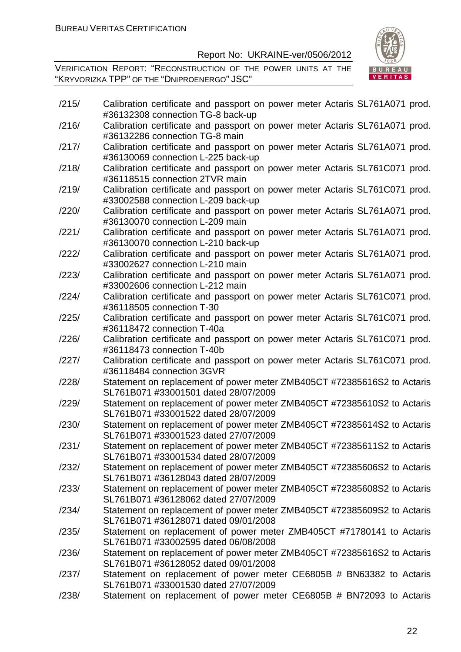

| /215/ | Calibration certificate and passport on power meter Actaris SL761A071 prod.                                     |
|-------|-----------------------------------------------------------------------------------------------------------------|
|       | #36132308 connection TG-8 back-up                                                                               |
| /216/ | Calibration certificate and passport on power meter Actaris SL761A071 prod.<br>#36132286 connection TG-8 main   |
| /217/ | Calibration certificate and passport on power meter Actaris SL761A071 prod.                                     |
|       | #36130069 connection L-225 back-up                                                                              |
| /218/ | Calibration certificate and passport on power meter Actaris SL761C071 prod.                                     |
|       | #36118515 connection 2TVR main                                                                                  |
| /219/ | Calibration certificate and passport on power meter Actaris SL761C071 prod.                                     |
|       | #33002588 connection L-209 back-up                                                                              |
| /220/ | Calibration certificate and passport on power meter Actaris SL761A071 prod.                                     |
|       | #36130070 connection L-209 main                                                                                 |
| /221/ | Calibration certificate and passport on power meter Actaris SL761A071 prod.                                     |
|       | #36130070 connection L-210 back-up                                                                              |
| /222/ | Calibration certificate and passport on power meter Actaris SL761A071 prod.                                     |
|       | #33002627 connection L-210 main                                                                                 |
| /223/ | Calibration certificate and passport on power meter Actaris SL761A071 prod.<br>#33002606 connection L-212 main  |
| /224/ |                                                                                                                 |
|       | Calibration certificate and passport on power meter Actaris SL761C071 prod.<br>#36118505 connection T-30        |
| /225/ | Calibration certificate and passport on power meter Actaris SL761C071 prod.                                     |
|       | #36118472 connection T-40a                                                                                      |
| /226/ | Calibration certificate and passport on power meter Actaris SL761C071 prod.                                     |
|       | #36118473 connection T-40b                                                                                      |
| /227/ | Calibration certificate and passport on power meter Actaris SL761C071 prod.                                     |
|       | #36118484 connection 3GVR                                                                                       |
| /228/ | Statement on replacement of power meter ZMB405CT #72385616S2 to Actaris                                         |
|       | SL761B071 #33001501 dated 28/07/2009                                                                            |
| /229/ | Statement on replacement of power meter ZMB405CT #72385610S2 to Actaris                                         |
|       | SL761B071 #33001522 dated 28/07/2009                                                                            |
| /230/ | Statement on replacement of power meter ZMB405CT #72385614S2 to Actaris<br>SL761B071 #33001523 dated 27/07/2009 |
| /231/ | Statement on replacement of power meter ZMB405CT #72385611S2 to Actaris                                         |
|       | SL761B071 #33001534 dated 28/07/2009                                                                            |
| /232/ | Statement on replacement of power meter ZMB405CT #72385606S2 to Actaris                                         |
|       | SL761B071 #36128043 dated 28/07/2009                                                                            |
| /233/ | Statement on replacement of power meter ZMB405CT #72385608S2 to Actaris                                         |
|       | SL761B071 #36128062 dated 27/07/2009                                                                            |
| /234/ | Statement on replacement of power meter ZMB405CT #72385609S2 to Actaris                                         |
|       | SL761B071 #36128071 dated 09/01/2008                                                                            |
| /235/ | Statement on replacement of power meter ZMB405CT #71780141 to Actaris                                           |
|       | SL761B071 #33002595 dated 06/08/2008                                                                            |
| /236/ | Statement on replacement of power meter ZMB405CT #72385616S2 to Actaris                                         |
|       | SL761B071 #36128052 dated 09/01/2008                                                                            |
| /237/ | Statement on replacement of power meter CE6805B # BN63382 to Actaris                                            |
|       | SL761B071 #33001530 dated 27/07/2009                                                                            |
| /238/ | Statement on replacement of power meter CE6805B # BN72093 to Actaris                                            |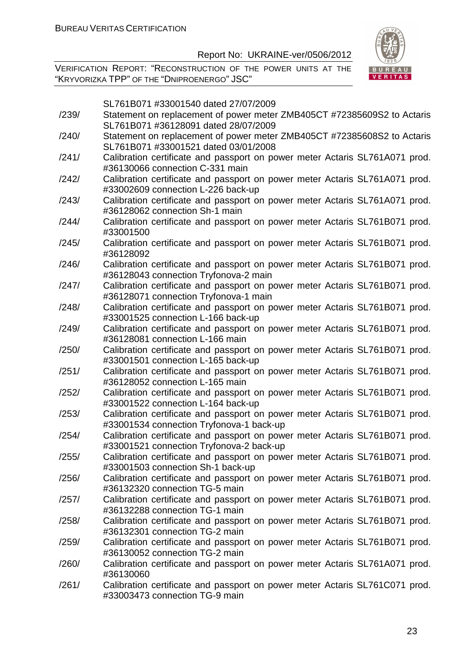VERIFICATION REPORT: "RECONSTRUCTION OF THE POWER UNITS AT THE "KRYVORIZKA TPP" OF THE "DNIPROENERGO" JSC"



SL761B071 #33001540 dated 27/07/2009

| /239/ | Statement on replacement of power meter ZMB405CT #72385609S2 to Actaris<br>SL761B071 #36128091 dated 28/07/2009 |
|-------|-----------------------------------------------------------------------------------------------------------------|
| /240/ | Statement on replacement of power meter ZMB405CT #72385608S2 to Actaris<br>SL761B071 #33001521 dated 03/01/2008 |
|       |                                                                                                                 |
| /241/ | Calibration certificate and passport on power meter Actaris SL761A071 prod.<br>#36130066 connection C-331 main  |
| /242/ | Calibration certificate and passport on power meter Actaris SL761A071 prod.                                     |
|       | #33002609 connection L-226 back-up                                                                              |
| /243/ | Calibration certificate and passport on power meter Actaris SL761A071 prod.                                     |
|       | #36128062 connection Sh-1 main                                                                                  |
| /244/ | Calibration certificate and passport on power meter Actaris SL761B071 prod.<br>#33001500                        |
| /245/ | Calibration certificate and passport on power meter Actaris SL761B071 prod.                                     |
|       | #36128092                                                                                                       |
| /246/ | Calibration certificate and passport on power meter Actaris SL761B071 prod.                                     |
|       | #36128043 connection Tryfonova-2 main                                                                           |
| /247/ | Calibration certificate and passport on power meter Actaris SL761B071 prod.                                     |
|       | #36128071 connection Tryfonova-1 main                                                                           |
| /248/ | Calibration certificate and passport on power meter Actaris SL761B071 prod.                                     |
|       | #33001525 connection L-166 back-up                                                                              |
| /249/ | Calibration certificate and passport on power meter Actaris SL761B071 prod.                                     |
|       | #36128081 connection L-166 main                                                                                 |
| /250/ | Calibration certificate and passport on power meter Actaris SL761B071 prod.                                     |
|       | #33001501 connection L-165 back-up                                                                              |
| /251/ | Calibration certificate and passport on power meter Actaris SL761B071 prod.                                     |
|       | #36128052 connection L-165 main                                                                                 |
| /252/ | Calibration certificate and passport on power meter Actaris SL761B071 prod.                                     |
|       | #33001522 connection L-164 back-up                                                                              |
| /253/ | Calibration certificate and passport on power meter Actaris SL761B071 prod.                                     |
|       | #33001534 connection Tryfonova-1 back-up                                                                        |
| /254/ | Calibration certificate and passport on power meter Actaris SL761B071 prod.                                     |
|       | #33001521 connection Tryfonova-2 back-up                                                                        |
| /255/ | Calibration certificate and passport on power meter Actaris SL761B071 prod.                                     |
|       | #33001503 connection Sh-1 back-up                                                                               |
| /256/ | Calibration certificate and passport on power meter Actaris SL761B071 prod.                                     |
|       | #36132320 connection TG-5 main                                                                                  |
| /257/ | Calibration certificate and passport on power meter Actaris SL761B071 prod.                                     |
|       | #36132288 connection TG-1 main                                                                                  |
| /258/ | Calibration certificate and passport on power meter Actaris SL761B071 prod.                                     |
|       | #36132301 connection TG-2 main                                                                                  |
| /259/ | Calibration certificate and passport on power meter Actaris SL761B071 prod.                                     |
|       | #36130052 connection TG-2 main                                                                                  |
| /260/ | Calibration certificate and passport on power meter Actaris SL761A071 prod.                                     |
|       | #36130060                                                                                                       |
| /261/ | Calibration certificate and passport on power meter Actaris SL761C071 prod.                                     |
|       | #33003473 connection TG-9 main                                                                                  |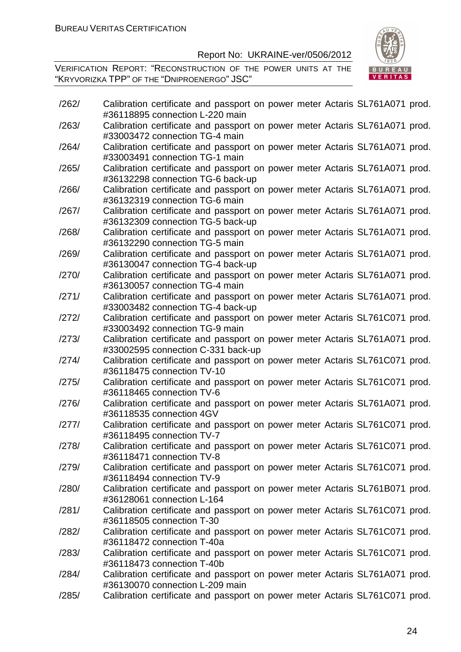VERIFICATION REPORT: "RECONSTRUCTION OF THE POWER UNITS AT THE "KRYVORIZKA TPP" OF THE "DNIPROENERGO" JSC"



| /262/ | Calibration certificate and passport on power meter Actaris SL761A071 prod.<br>#36118895 connection L-220 main    |
|-------|-------------------------------------------------------------------------------------------------------------------|
| /263/ | Calibration certificate and passport on power meter Actaris SL761A071 prod.<br>#33003472 connection TG-4 main     |
| /264/ | Calibration certificate and passport on power meter Actaris SL761A071 prod.<br>#33003491 connection TG-1 main     |
| /265/ | Calibration certificate and passport on power meter Actaris SL761A071 prod.<br>#36132298 connection TG-6 back-up  |
| /266/ | Calibration certificate and passport on power meter Actaris SL761A071 prod.<br>#36132319 connection TG-6 main     |
| /267/ | Calibration certificate and passport on power meter Actaris SL761A071 prod.<br>#36132309 connection TG-5 back-up  |
| /268/ | Calibration certificate and passport on power meter Actaris SL761A071 prod.<br>#36132290 connection TG-5 main     |
| /269/ | Calibration certificate and passport on power meter Actaris SL761A071 prod.<br>#36130047 connection TG-4 back-up  |
| /270/ | Calibration certificate and passport on power meter Actaris SL761A071 prod.<br>#36130057 connection TG-4 main     |
| /271/ | Calibration certificate and passport on power meter Actaris SL761A071 prod.<br>#33003482 connection TG-4 back-up  |
| /272/ | Calibration certificate and passport on power meter Actaris SL761C071 prod.<br>#33003492 connection TG-9 main     |
| /273/ | Calibration certificate and passport on power meter Actaris SL761A071 prod.<br>#33002595 connection C-331 back-up |
| /274/ | Calibration certificate and passport on power meter Actaris SL761C071 prod.<br>#36118475 connection TV-10         |
| /275/ | Calibration certificate and passport on power meter Actaris SL761C071 prod.<br>#36118465 connection TV-6          |
| /276/ | Calibration certificate and passport on power meter Actaris SL761A071 prod.<br>#36118535 connection 4GV           |
| /277/ | Calibration certificate and passport on power meter Actaris SL761C071 prod.<br>#36118495 connection TV-7          |
| /278/ | Calibration certificate and passport on power meter Actaris SL761C071 prod.<br>#36118471 connection TV-8          |
| /279/ | Calibration certificate and passport on power meter Actaris SL761C071 prod.<br>#36118494 connection TV-9          |
| /280/ | Calibration certificate and passport on power meter Actaris SL761B071 prod.<br>#36128061 connection L-164         |
| /281/ | Calibration certificate and passport on power meter Actaris SL761C071 prod.<br>#36118505 connection T-30          |
| /282/ | Calibration certificate and passport on power meter Actaris SL761C071 prod.<br>#36118472 connection T-40a         |
| /283/ | Calibration certificate and passport on power meter Actaris SL761C071 prod.                                       |
| /284/ | #36118473 connection T-40b<br>Calibration certificate and passport on power meter Actaris SL761A071 prod.         |
| /285/ | #36130070 connection L-209 main<br>Calibration certificate and passport on power meter Actaris SL761C071 prod.    |

24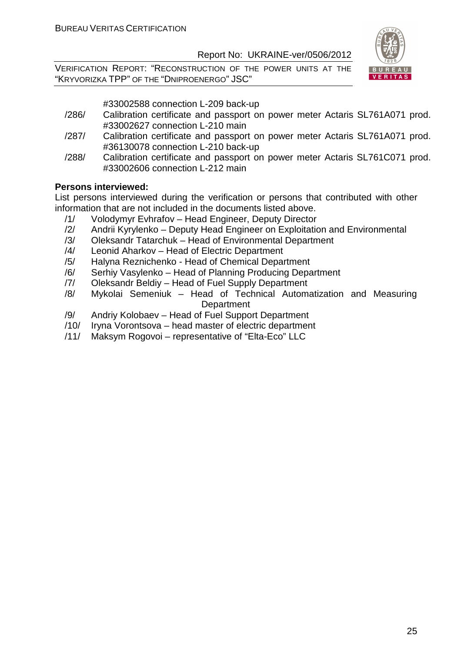VERIFICATION REPORT: "RECONSTRUCTION OF THE POWER UNITS AT THE "KRYVORIZKA TPP" OF THE "DNIPROENERGO" JSC"



#33002588 connection L-209 back-up

- /286/ Calibration certificate and passport on power meter Actaris SL761A071 prod. #33002627 connection L-210 main
- /287/ Calibration certificate and passport on power meter Actaris SL761A071 prod. #36130078 connection L-210 back-up
- /288/ Calibration certificate and passport on power meter Actaris SL761C071 prod. #33002606 connection L-212 main

#### **Persons interviewed:**

List persons interviewed during the verification or persons that contributed with other information that are not included in the documents listed above.

- /1/ Volodymyr Evhrafov Head Engineer, Deputy Director
- /2/ Andrii Kyrylenko Deputy Head Engineer on Exploitation and Environmental
- /3/ Oleksandr Tatarchuk Head of Environmental Department
- /4/ Leonid Aharkov Head of Electric Department
- /5/ Halyna Reznichenko Head of Chemical Department
- /6/ Serhiy Vasylenko Head of Planning Producing Department
- /7/ Oleksandr Beldiy Head of Fuel Supply Department
- /8/ Mykolai Semeniuk Head of Technical Automatization and Measuring **Department**
- /9/ Andriy Kolobaev Head of Fuel Support Department
- /10/ Iryna Vorontsova head master of electric department
- /11/ Maksym Rogovoi representative of "Elta-Eco" LLC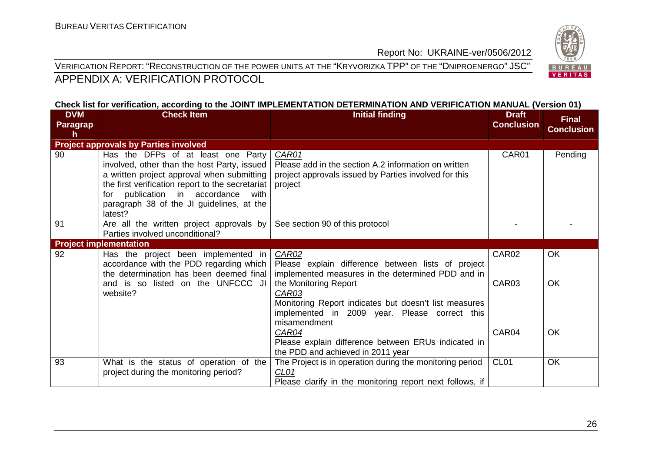VERIFICATION REPORT: "RECONSTRUCTION OF THE POWER UNITS AT THE "KRYVORIZKA TPP" OF THE "DNIPROENERGO" JSC" APPENDIX A: VERIFICATION PROTOCOL



| <b>DVM</b><br><b>Paragrap</b><br>h | <b>Check Item</b>                                                                                                                                                                                                                                                                    | <b>Initial finding</b>                                                                                                                                                   | <b>Draft</b><br><b>Conclusion</b> | <b>Final</b><br><b>Conclusion</b> |
|------------------------------------|--------------------------------------------------------------------------------------------------------------------------------------------------------------------------------------------------------------------------------------------------------------------------------------|--------------------------------------------------------------------------------------------------------------------------------------------------------------------------|-----------------------------------|-----------------------------------|
|                                    | <b>Project approvals by Parties involved</b>                                                                                                                                                                                                                                         |                                                                                                                                                                          |                                   |                                   |
| 90                                 | Has the DFPs of at least one Party<br>involved, other than the host Party, issued<br>a written project approval when submitting<br>the first verification report to the secretariat<br>for publication in accordance<br>with<br>paragraph 38 of the JI guidelines, at the<br>latest? | CAR01<br>Please add in the section A.2 information on written<br>project approvals issued by Parties involved for this<br>project                                        | CAR01                             | Pending                           |
| 91                                 | Are all the written project approvals by                                                                                                                                                                                                                                             | See section 90 of this protocol                                                                                                                                          |                                   |                                   |
|                                    | Parties involved unconditional?                                                                                                                                                                                                                                                      |                                                                                                                                                                          |                                   |                                   |
|                                    | <b>Project implementation</b>                                                                                                                                                                                                                                                        |                                                                                                                                                                          |                                   |                                   |
| 92                                 | Has the project been implemented in<br>accordance with the PDD regarding which<br>the determination has been deemed final                                                                                                                                                            | <b>CAR02</b><br>Please explain difference between lists of project<br>implemented measures in the determined PDD and in                                                  | CAR02                             | OK                                |
|                                    | and is so listed on the UNFCCC JI<br>website?                                                                                                                                                                                                                                        | the Monitoring Report<br><b>CAR03</b><br>Monitoring Report indicates but doesn't list measures<br>implemented in 2009 year. Please correct this<br>misamendment<br>CAR04 | CAR03<br>CAR04                    | OK<br>OK                          |
|                                    |                                                                                                                                                                                                                                                                                      | Please explain difference between ERUs indicated in<br>the PDD and achieved in 2011 year                                                                                 |                                   |                                   |
| 93                                 | What is the status of operation of the<br>project during the monitoring period?                                                                                                                                                                                                      | The Project is in operation during the monitoring period<br>CL <sub>01</sub><br>Please clarify in the monitoring report next follows, if                                 | CL <sub>01</sub>                  | OK                                |

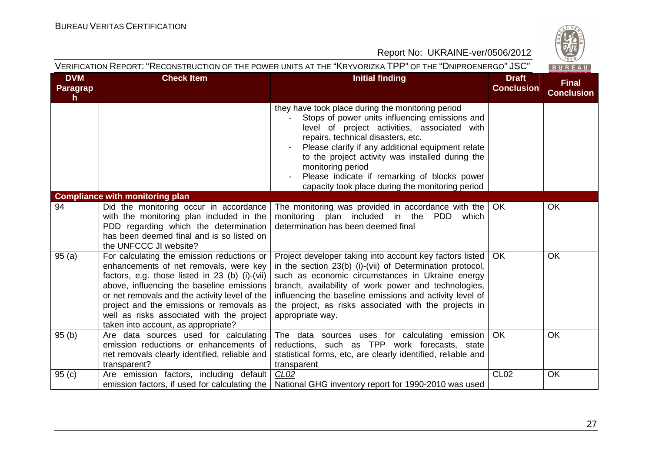

| <b>DVM</b><br><b>Paragrap</b> | <b>Check Item</b>                                                                                                                                                                                                                                                                                                                                                    | <b>Initial finding</b>                                                                                                                                                                                                                                                                                                                                                                                                      | <b>Draft</b><br><b>Conclusion</b> | <b>Final</b><br><b>Conclusion</b> |
|-------------------------------|----------------------------------------------------------------------------------------------------------------------------------------------------------------------------------------------------------------------------------------------------------------------------------------------------------------------------------------------------------------------|-----------------------------------------------------------------------------------------------------------------------------------------------------------------------------------------------------------------------------------------------------------------------------------------------------------------------------------------------------------------------------------------------------------------------------|-----------------------------------|-----------------------------------|
| $\mathsf{h}$                  |                                                                                                                                                                                                                                                                                                                                                                      | they have took place during the monitoring period<br>Stops of power units influencing emissions and<br>level of project activities, associated with<br>repairs, technical disasters, etc.<br>Please clarify if any additional equipment relate<br>to the project activity was installed during the<br>monitoring period<br>Please indicate if remarking of blocks power<br>capacity took place during the monitoring period |                                   |                                   |
|                               | <b>Compliance with monitoring plan</b>                                                                                                                                                                                                                                                                                                                               |                                                                                                                                                                                                                                                                                                                                                                                                                             |                                   |                                   |
| 94                            | Did the monitoring occur in accordance<br>with the monitoring plan included in the<br>PDD regarding which the determination<br>has been deemed final and is so listed on<br>the UNFCCC JI website?                                                                                                                                                                   | The monitoring was provided in accordance with the  <br>monitoring plan included in the<br>PDD<br>which<br>determination has been deemed final                                                                                                                                                                                                                                                                              | <b>OK</b>                         | <b>OK</b>                         |
| 95(a)                         | For calculating the emission reductions or<br>enhancements of net removals, were key<br>factors, e.g. those listed in 23 (b) (i)-(vii)<br>above, influencing the baseline emissions<br>or net removals and the activity level of the<br>project and the emissions or removals as<br>well as risks associated with the project<br>taken into account, as appropriate? | Project developer taking into account key factors listed<br>in the section 23(b) (i)-(vii) of Determination protocol,<br>such as economic circumstances in Ukraine energy<br>branch, availability of work power and technologies,<br>influencing the baseline emissions and activity level of<br>the project, as risks associated with the projects in<br>appropriate way.                                                  | <b>OK</b>                         | OK                                |
| 95(b)                         | Are data sources used for calculating<br>emission reductions or enhancements of<br>net removals clearly identified, reliable and<br>transparent?                                                                                                                                                                                                                     | The data sources uses for calculating emission<br>reductions, such as TPP work forecasts, state<br>statistical forms, etc, are clearly identified, reliable and<br>transparent                                                                                                                                                                                                                                              | OK                                | <b>OK</b>                         |
| 95(c)                         | Are emission factors, including default<br>emission factors, if used for calculating the                                                                                                                                                                                                                                                                             | CL <sub>02</sub><br>National GHG inventory report for 1990-2010 was used                                                                                                                                                                                                                                                                                                                                                    | <b>CL02</b>                       | OK                                |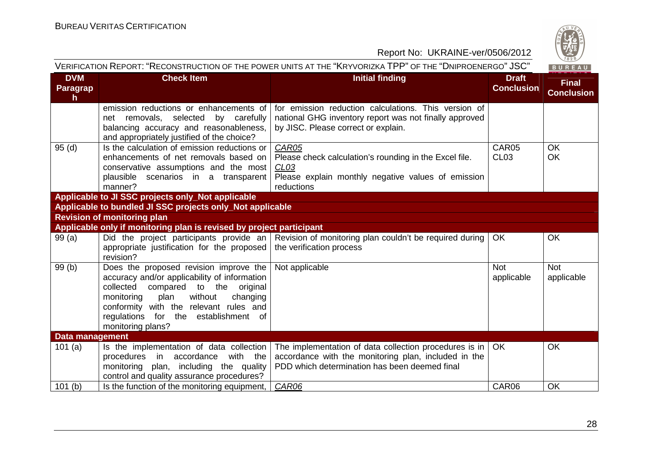

| <b>DVM</b>           | <b>Check Item</b>                                                                   | <b>Initial finding</b>                                           | <b>Draft</b>      | <b>Final</b>      |
|----------------------|-------------------------------------------------------------------------------------|------------------------------------------------------------------|-------------------|-------------------|
| <b>Paragrap</b><br>h |                                                                                     |                                                                  | <b>Conclusion</b> | <b>Conclusion</b> |
|                      | emission reductions or enhancements of                                              | for emission reduction calculations. This version of             |                   |                   |
|                      | net removals, selected by carefully                                                 | national GHG inventory report was not finally approved           |                   |                   |
|                      | balancing accuracy and reasonableness,                                              | by JISC. Please correct or explain.                              |                   |                   |
|                      | and appropriately justified of the choice?                                          |                                                                  |                   |                   |
| 95(d)                | Is the calculation of emission reductions or                                        | CAR05                                                            | CAR05             | OK                |
|                      | enhancements of net removals based on                                               | Please check calculation's rounding in the Excel file.           | CL <sub>03</sub>  | OK                |
|                      | conservative assumptions and the most                                               | CL <sub>03</sub>                                                 |                   |                   |
|                      | plausible scenarios in a transparent<br>manner?                                     | Please explain monthly negative values of emission<br>reductions |                   |                   |
|                      | Applicable to JI SSC projects only_Not applicable                                   |                                                                  |                   |                   |
|                      | Applicable to bundled JI SSC projects only_Not applicable                           |                                                                  |                   |                   |
|                      | <b>Revision of monitoring plan</b>                                                  |                                                                  |                   |                   |
|                      | Applicable only if monitoring plan is revised by project participant                |                                                                  |                   |                   |
| 99(a)                | Did the project participants provide an $\vert$                                     | Revision of monitoring plan couldn't be required during          | OK                | <b>OK</b>         |
|                      | appropriate justification for the proposed                                          | the verification process                                         |                   |                   |
|                      | revision?                                                                           |                                                                  |                   |                   |
| 99(b)                | Does the proposed revision improve the                                              | Not applicable                                                   | <b>Not</b>        | <b>Not</b>        |
|                      | accuracy and/or applicability of information                                        |                                                                  | applicable        | applicable        |
|                      | to the<br>original<br>collected<br>compared                                         |                                                                  |                   |                   |
|                      | monitoring<br>plan<br>without<br>changing<br>conformity with the relevant rules and |                                                                  |                   |                   |
|                      | regulations for the establishment of                                                |                                                                  |                   |                   |
|                      | monitoring plans?                                                                   |                                                                  |                   |                   |
| Data management      |                                                                                     |                                                                  |                   |                   |
| 101(a)               | Is the implementation of data collection                                            | The implementation of data collection procedures is in           | <b>OK</b>         | <b>OK</b>         |
|                      | with the<br>procedures<br>in<br>accordance                                          | accordance with the monitoring plan, included in the             |                   |                   |
|                      | monitoring plan, including the quality                                              | PDD which determination has been deemed final                    |                   |                   |
|                      | control and quality assurance procedures?                                           |                                                                  |                   |                   |
| 101(b)               | Is the function of the monitoring equipment,                                        | CAR06                                                            | CAR06             | OK                |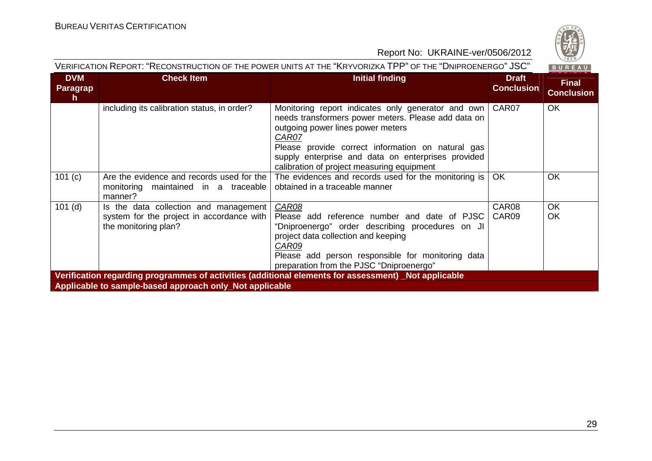

| <b>DVM</b><br><b>Paragrap</b><br>h.                                                                                                                            | <b>Check Item</b>                                                                                          | <b>Initial finding</b>                                                                                                                                                                                                                                                                                           | <b>Draft</b><br><b>Conclusion</b> | <b>Final</b><br><b>Conclusion</b> |  |  |
|----------------------------------------------------------------------------------------------------------------------------------------------------------------|------------------------------------------------------------------------------------------------------------|------------------------------------------------------------------------------------------------------------------------------------------------------------------------------------------------------------------------------------------------------------------------------------------------------------------|-----------------------------------|-----------------------------------|--|--|
|                                                                                                                                                                | including its calibration status, in order?                                                                | Monitoring report indicates only generator and own<br>needs transformers power meters. Please add data on<br>outgoing power lines power meters<br>CAR07<br>Please provide correct information on natural gas<br>supply enterprise and data on enterprises provided<br>calibration of project measuring equipment | CAR07                             | <b>OK</b>                         |  |  |
| 101 (c)                                                                                                                                                        | Are the evidence and records used for the<br>monitoring maintained in a traceable<br>manner?               | The evidences and records used for the monitoring is $ $<br>obtained in a traceable manner                                                                                                                                                                                                                       | <b>OK</b>                         | <b>OK</b>                         |  |  |
| $101$ (d)                                                                                                                                                      | Is the data collection and management<br>system for the project in accordance with<br>the monitoring plan? | CAR08<br>Please add reference number and date of PJSC<br>"Dniproenergo" order describing procedures on JI<br>project data collection and keeping<br>CAR09<br>Please add person responsible for monitoring data<br>preparation from the PJSC "Dniproenergo"                                                       | CAR08<br>CAR09                    | <b>OK</b><br><b>OK</b>            |  |  |
| Verification regarding programmes of activities (additional elements for assessment) Not applicable<br>Applicable to sample-based approach only_Not applicable |                                                                                                            |                                                                                                                                                                                                                                                                                                                  |                                   |                                   |  |  |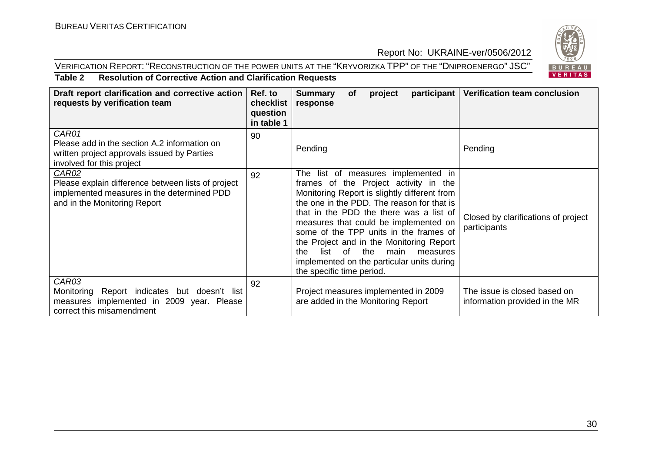#### VERIFICATION REPORT: "RECONSTRUCTION OF THE POWER UNITS AT THE "KRYVORIZKA TPP" OF THE "DNIPROENERGO" JSC"



#### **Table 2 Resolution of Corrective Action and Clarification Requests**

| Draft report clarification and corrective action<br>requests by verification team                                                         | Ref. to<br>checklist<br>question<br>in table 1 | participant<br><b>Summary</b><br>project<br><b>of</b><br>response                                                                                                                                                                                                                                                                                                                                                                                                                | <b>Verification team conclusion</b>                            |
|-------------------------------------------------------------------------------------------------------------------------------------------|------------------------------------------------|----------------------------------------------------------------------------------------------------------------------------------------------------------------------------------------------------------------------------------------------------------------------------------------------------------------------------------------------------------------------------------------------------------------------------------------------------------------------------------|----------------------------------------------------------------|
| CAR01<br>Please add in the section A.2 information on<br>written project approvals issued by Parties<br>involved for this project         | 90                                             | Pending                                                                                                                                                                                                                                                                                                                                                                                                                                                                          | Pending                                                        |
| CAR02<br>Please explain difference between lists of project<br>implemented measures in the determined PDD<br>and in the Monitoring Report | 92                                             | The list of measures implemented in<br>frames of the Project activity in the<br>Monitoring Report is slightly different from<br>the one in the PDD. The reason for that is<br>that in the PDD the there was a list of<br>measures that could be implemented on<br>some of the TPP units in the frames of<br>the Project and in the Monitoring Report<br>the<br>of<br>main<br>list<br>the.<br>measures<br>implemented on the particular units during<br>the specific time period. | Closed by clarifications of project<br>participants            |
| CAR03<br>Report indicates but doesn't list<br>Monitoring<br>measures implemented in 2009 year. Please<br>correct this misamendment        | 92                                             | Project measures implemented in 2009<br>are added in the Monitoring Report                                                                                                                                                                                                                                                                                                                                                                                                       | The issue is closed based on<br>information provided in the MR |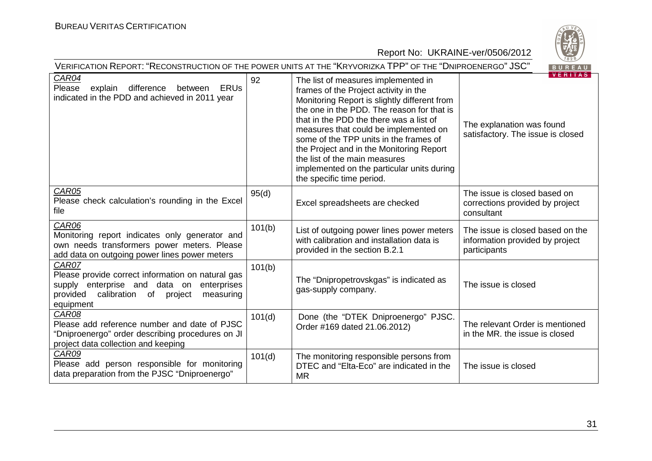

| VERIFICATION REPORT: "RECONSTRUCTION OF THE POWER UNITS AT THE "KRYVORIZKA TPP" OF THE "DNIPROENERGO" JSC"<br>BUREAU                                                             |        |                                                                                                                                                                                                                                                                                                                                                                                                                                                                  |                                                                                     |  |
|----------------------------------------------------------------------------------------------------------------------------------------------------------------------------------|--------|------------------------------------------------------------------------------------------------------------------------------------------------------------------------------------------------------------------------------------------------------------------------------------------------------------------------------------------------------------------------------------------------------------------------------------------------------------------|-------------------------------------------------------------------------------------|--|
| <b>CAR04</b><br><b>ERUs</b><br>Please<br>explain<br>difference<br>between<br>indicated in the PDD and achieved in 2011 year                                                      | 92     | The list of measures implemented in<br>frames of the Project activity in the<br>Monitoring Report is slightly different from<br>the one in the PDD. The reason for that is<br>that in the PDD the there was a list of<br>measures that could be implemented on<br>some of the TPP units in the frames of<br>the Project and in the Monitoring Report<br>the list of the main measures<br>implemented on the particular units during<br>the specific time period. | <b>VERITAS</b><br>The explanation was found<br>satisfactory. The issue is closed    |  |
| CAR05<br>Please check calculation's rounding in the Excel<br>file                                                                                                                | 95(d)  | Excel spreadsheets are checked                                                                                                                                                                                                                                                                                                                                                                                                                                   | The issue is closed based on<br>corrections provided by project<br>consultant       |  |
| CAR06<br>Monitoring report indicates only generator and<br>own needs transformers power meters. Please<br>add data on outgoing power lines power meters                          | 101(b) | List of outgoing power lines power meters<br>with calibration and installation data is<br>provided in the section B.2.1                                                                                                                                                                                                                                                                                                                                          | The issue is closed based on the<br>information provided by project<br>participants |  |
| CAR07<br>Please provide correct information on natural gas<br>enterprise and data on<br>enterprises<br>supply<br>provided<br>calibration<br>of project<br>measuring<br>equipment | 101(b) | The "Dnipropetrovskgas" is indicated as<br>gas-supply company.                                                                                                                                                                                                                                                                                                                                                                                                   | The issue is closed                                                                 |  |
| CAR08<br>Please add reference number and date of PJSC<br>"Dniproenergo" order describing procedures on JI<br>project data collection and keeping                                 | 101(d) | Done (the "DTEK Dniproenergo" PJSC.<br>Order #169 dated 21.06.2012)                                                                                                                                                                                                                                                                                                                                                                                              | The relevant Order is mentioned<br>in the MR, the issue is closed                   |  |
| CAR09<br>Please add person responsible for monitoring<br>data preparation from the PJSC "Dniproenergo"                                                                           | 101(d) | The monitoring responsible persons from<br>DTEC and "Elta-Eco" are indicated in the<br><b>MR</b>                                                                                                                                                                                                                                                                                                                                                                 | The issue is closed                                                                 |  |